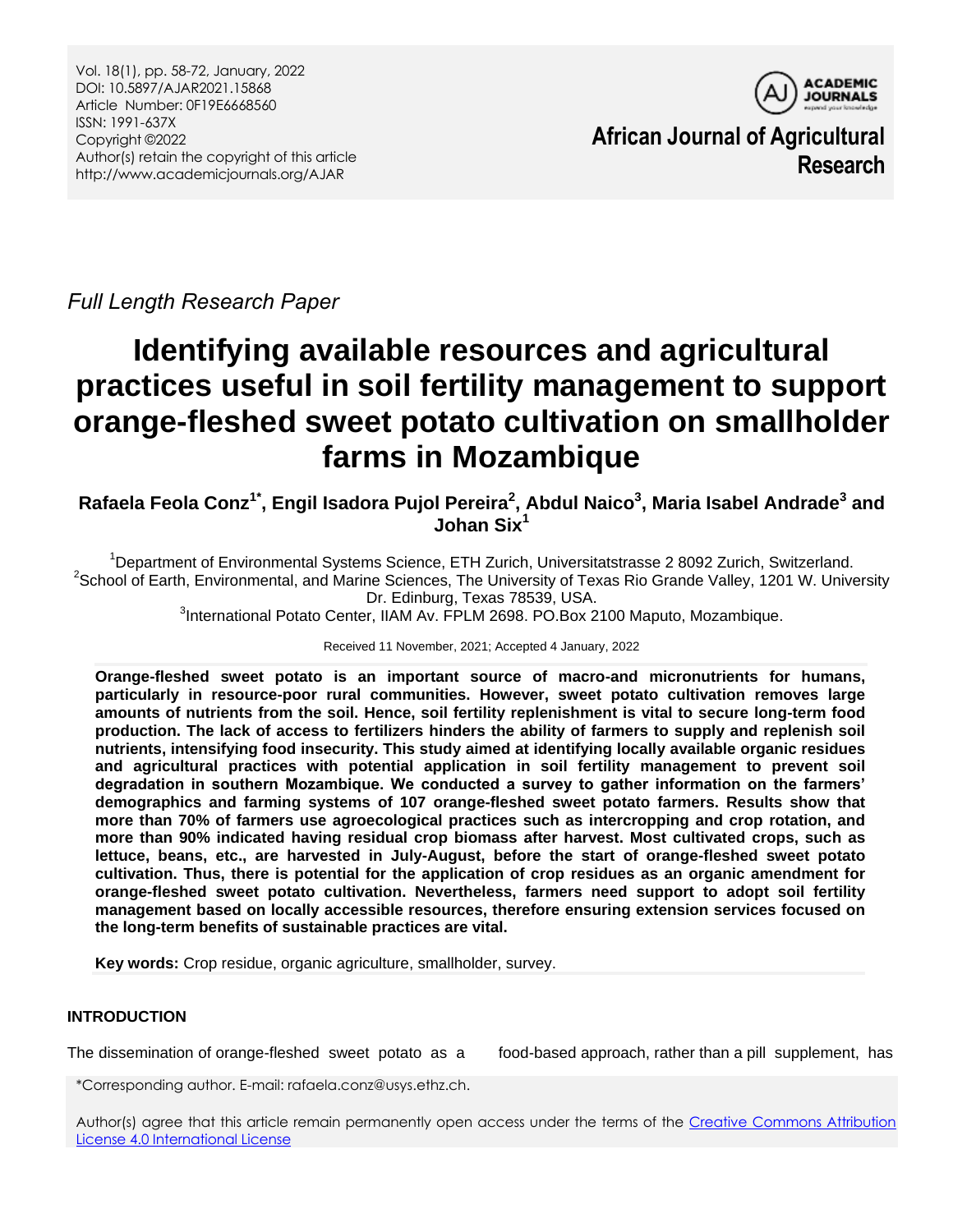

**African Journal of Agricultural Research**

*Full Length Research Paper*

# **Identifying available resources and agricultural practices useful in soil fertility management to support orange-fleshed sweet potato cultivation on smallholder farms in Mozambique**

**Rafaela Feola Conz1\* , Engil Isadora Pujol Pereira<sup>2</sup> , Abdul Naico<sup>3</sup> , Maria Isabel Andrade<sup>3</sup> and Johan Six<sup>1</sup>**

<sup>1</sup>Department of Environmental Systems Science, ETH Zurich, Universitatstrasse 2 8092 Zurich, Switzerland. <sup>2</sup>School of Earth, Environmental, and Marine Sciences, The University of Texas Rio Grande Valley, 1201 W. University Dr. Edinburg, Texas 78539, USA. <sup>3</sup>International Potato Center, IIAM Av. FPLM 2698. PO.Box 2100 Maputo, Mozambique.

Received 11 November, 2021; Accepted 4 January, 2022

**Orange-fleshed sweet potato is an important source of macro-and micronutrients for humans, particularly in resource-poor rural communities. However, sweet potato cultivation removes large amounts of nutrients from the soil. Hence, soil fertility replenishment is vital to secure long-term food production. The lack of access to fertilizers hinders the ability of farmers to supply and replenish soil nutrients, intensifying food insecurity. This study aimed at identifying locally available organic residues and agricultural practices with potential application in soil fertility management to prevent soil degradation in southern Mozambique. We conducted a survey to gather information on the farmers' demographics and farming systems of 107 orange-fleshed sweet potato farmers. Results show that more than 70% of farmers use agroecological practices such as intercropping and crop rotation, and more than 90% indicated having residual crop biomass after harvest. Most cultivated crops, such as lettuce, beans, etc., are harvested in July-August, before the start of orange-fleshed sweet potato cultivation. Thus, there is potential for the application of crop residues as an organic amendment for orange-fleshed sweet potato cultivation. Nevertheless, farmers need support to adopt soil fertility management based on locally accessible resources, therefore ensuring extension services focused on the long-term benefits of sustainable practices are vital.**

**Key words:** Crop residue, organic agriculture, smallholder, survey.

# **INTRODUCTION**

The dissemination of orange-fleshed sweet potato as a food-based approach, rather than a pill supplement, has

\*Corresponding author. E-mail: rafaela.conz@usys.ethz.ch.

Author(s) agree that this article remain permanently open access under the terms of the [Creative Commons Attribution](http://creativecommons.org/licenses/by/4.0/deed.en_US)  [License 4.0 International License](http://creativecommons.org/licenses/by/4.0/deed.en_US)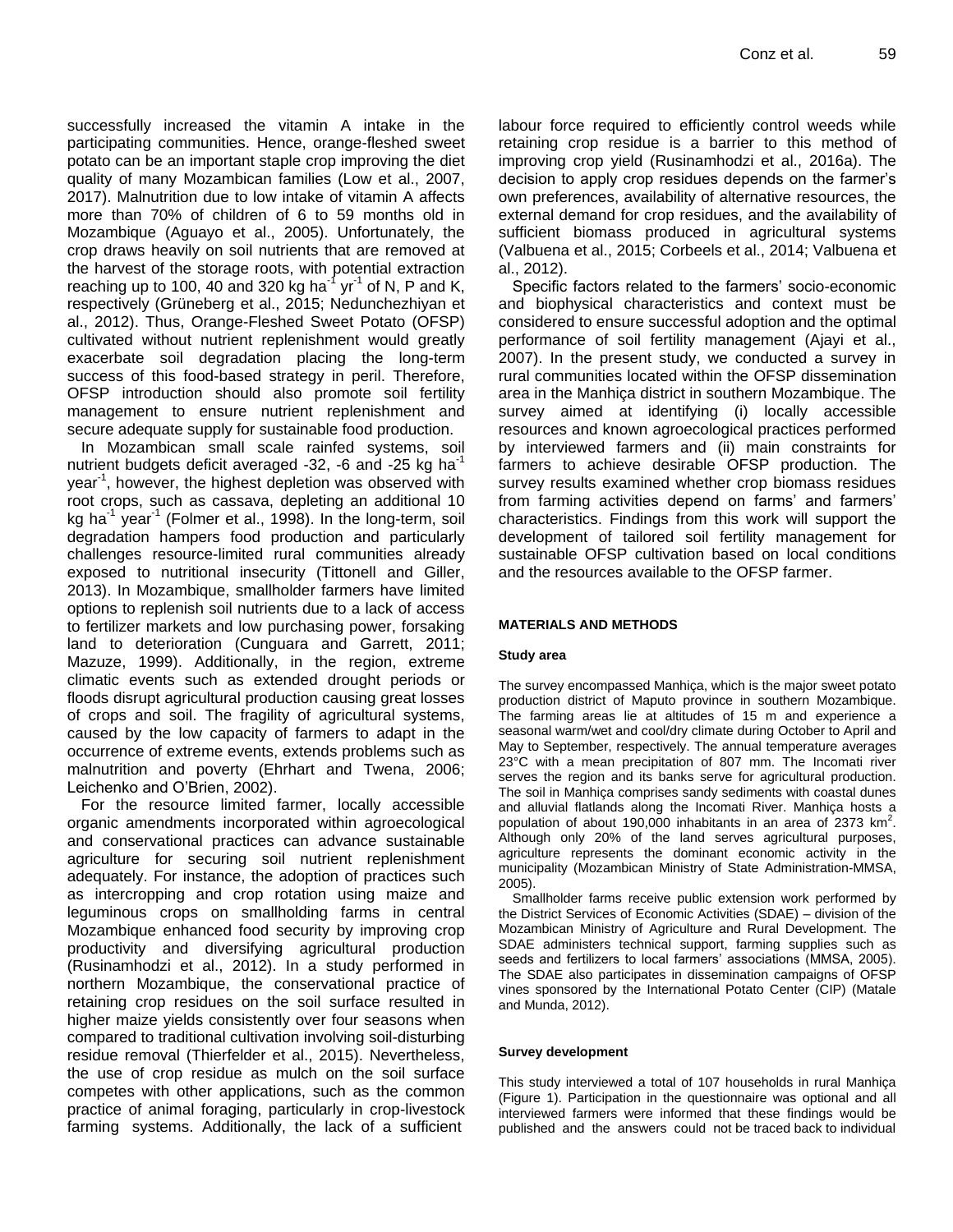successfully increased the vitamin A intake in the participating communities. Hence, orange-fleshed sweet potato can be an important staple crop improving the diet quality of many Mozambican families (Low et al., 2007, 2017). Malnutrition due to low intake of vitamin A affects more than 70% of children of 6 to 59 months old in Mozambique (Aguayo et al., 2005). Unfortunately, the crop draws heavily on soil nutrients that are removed at the harvest of the storage roots, with potential extraction reaching up to 100, 40 and 320 kg ha<sup>-1</sup> yr<sup>-1</sup> of N, P and K, respectively (Grüneberg et al., 2015; Nedunchezhiyan et al., 2012). Thus, Orange-Fleshed Sweet Potato (OFSP) cultivated without nutrient replenishment would greatly exacerbate soil degradation placing the long-term success of this food-based strategy in peril. Therefore, OFSP introduction should also promote soil fertility management to ensure nutrient replenishment and secure adequate supply for sustainable food production.

In Mozambican small scale rainfed systems, soil nutrient budgets deficit averaged  $-32$ ,  $-6$  and  $-25$  kg ha<sup>-1</sup> year<sup>-1</sup>, however, the highest depletion was observed with root crops, such as cassava, depleting an additional 10 kg ha<sup>1</sup> year<sup>1</sup> (Folmer et al., 1998). In the long-term, soil degradation hampers food production and particularly challenges resource-limited rural communities already exposed to nutritional insecurity (Tittonell and Giller, 2013). In Mozambique, smallholder farmers have limited options to replenish soil nutrients due to a lack of access to fertilizer markets and low purchasing power, forsaking land to deterioration (Cunguara and Garrett, 2011; Mazuze, 1999). Additionally, in the region, extreme climatic events such as extended drought periods or floods disrupt agricultural production causing great losses of crops and soil. The fragility of agricultural systems, caused by the low capacity of farmers to adapt in the occurrence of extreme events, extends problems such as malnutrition and poverty (Ehrhart and Twena, 2006; Leichenko and O'Brien, 2002).

For the resource limited farmer, locally accessible organic amendments incorporated within agroecological and conservational practices can advance sustainable agriculture for securing soil nutrient replenishment adequately. For instance, the adoption of practices such as intercropping and crop rotation using maize and leguminous crops on smallholding farms in central Mozambique enhanced food security by improving crop productivity and diversifying agricultural production (Rusinamhodzi et al., 2012). In a study performed in northern Mozambique, the conservational practice of retaining crop residues on the soil surface resulted in higher maize yields consistently over four seasons when compared to traditional cultivation involving soil-disturbing residue removal (Thierfelder et al., 2015). Nevertheless, the use of crop residue as mulch on the soil surface competes with other applications, such as the common practice of animal foraging, particularly in crop-livestock farming systems. Additionally, the lack of a sufficient

labour force required to efficiently control weeds while retaining crop residue is a barrier to this method of improving crop yield (Rusinamhodzi et al., 2016a). The decision to apply crop residues depends on the farmer's own preferences, availability of alternative resources, the external demand for crop residues, and the availability of sufficient biomass produced in agricultural systems (Valbuena et al., 2015; Corbeels et al., 2014; Valbuena et al., 2012).

Specific factors related to the farmers' socio-economic and biophysical characteristics and context must be considered to ensure successful adoption and the optimal performance of soil fertility management (Ajayi et al., 2007). In the present study, we conducted a survey in rural communities located within the OFSP dissemination area in the Manhiça district in southern Mozambique. The survey aimed at identifying (i) locally accessible resources and known agroecological practices performed by interviewed farmers and (ii) main constraints for farmers to achieve desirable OFSP production. The survey results examined whether crop biomass residues from farming activities depend on farms' and farmers' characteristics. Findings from this work will support the development of tailored soil fertility management for sustainable OFSP cultivation based on local conditions and the resources available to the OFSP farmer.

#### **MATERIALS AND METHODS**

#### **Study area**

The survey encompassed Manhiça, which is the major sweet potato production district of Maputo province in southern Mozambique. The farming areas lie at altitudes of 15 m and experience a seasonal warm/wet and cool/dry climate during October to April and May to September, respectively. The annual temperature averages 23°C with a mean precipitation of 807 mm. The Incomati river serves the region and its banks serve for agricultural production. The soil in Manhiça comprises sandy sediments with coastal dunes and alluvial flatlands along the Incomati River. Manhiça hosts a population of about 190,000 inhabitants in an area of 2373  $\text{km}^2$ . Although only 20% of the land serves agricultural purposes, agriculture represents the dominant economic activity in the municipality (Mozambican Ministry of State Administration-MMSA, 2005).

Smallholder farms receive public extension work performed by the District Services of Economic Activities (SDAE) – division of the Mozambican Ministry of Agriculture and Rural Development. The SDAE administers technical support, farming supplies such as seeds and fertilizers to local farmers' associations (MMSA, 2005). The SDAE also participates in dissemination campaigns of OFSP vines sponsored by the International Potato Center (CIP) (Matale and Munda, 2012).

#### **Survey development**

This study interviewed a total of 107 households in rural Manhiça (Figure 1). Participation in the questionnaire was optional and all interviewed farmers were informed that these findings would be published and the answers could not be traced back to individual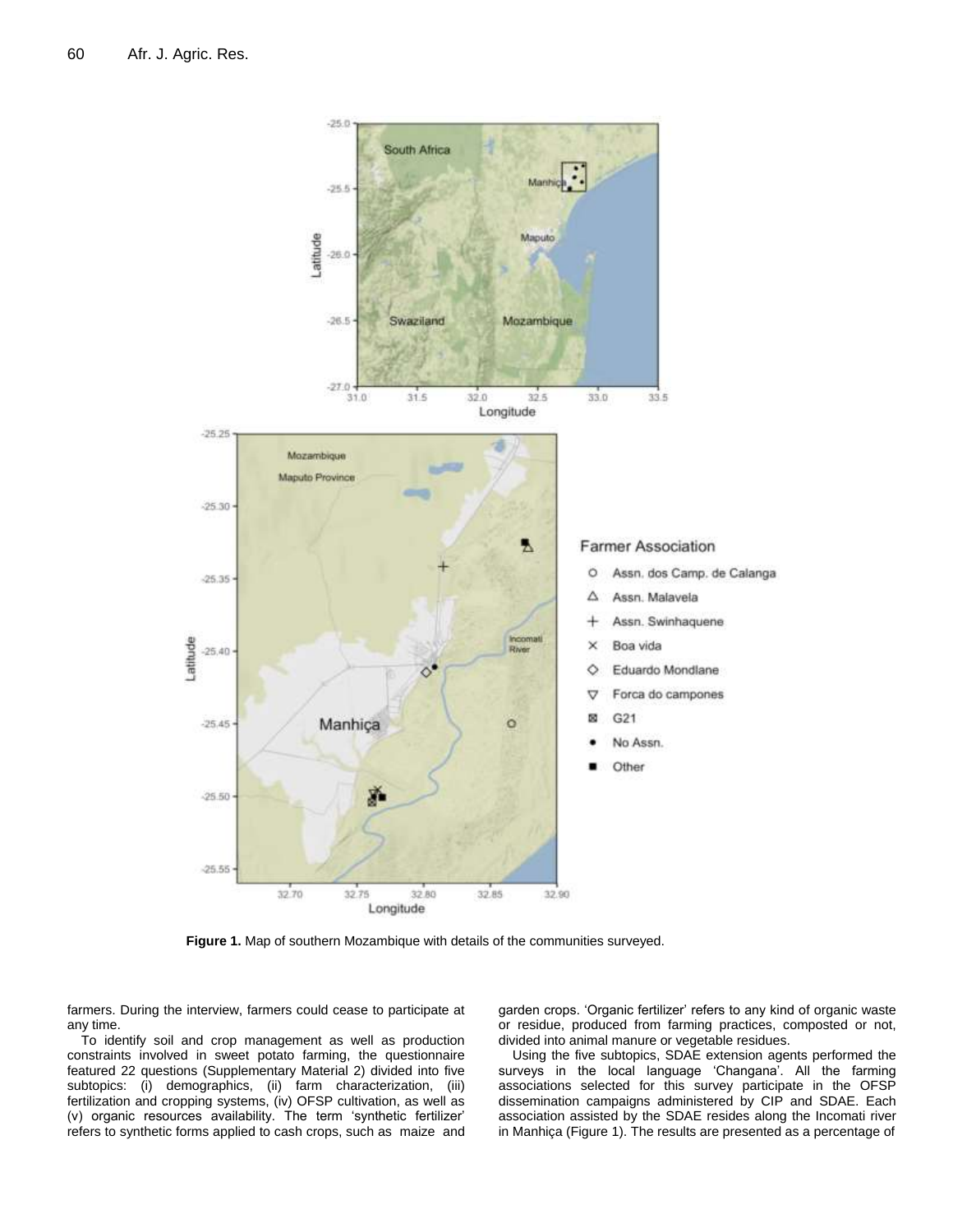

**Figure 1.** Map of southern Mozambique with details of the communities surveyed.

farmers. During the interview, farmers could cease to participate at any time.

To identify soil and crop management as well as production constraints involved in sweet potato farming, the questionnaire featured 22 questions (Supplementary Material 2) divided into five subtopics: (i) demographics, (ii) farm characterization, (iii) fertilization and cropping systems, (iv) OFSP cultivation, as well as (v) organic resources availability. The term 'synthetic fertilizer' refers to synthetic forms applied to cash crops, such as maize and

garden crops. 'Organic fertilizer' refers to any kind of organic waste or residue, produced from farming practices, composted or not, divided into animal manure or vegetable residues.

Using the five subtopics, SDAE extension agents performed the surveys in the local language 'Changana'. All the farming associations selected for this survey participate in the OFSP dissemination campaigns administered by CIP and SDAE. Each association assisted by the SDAE resides along the Incomati river in Manhiça (Figure 1). The results are presented as a percentage of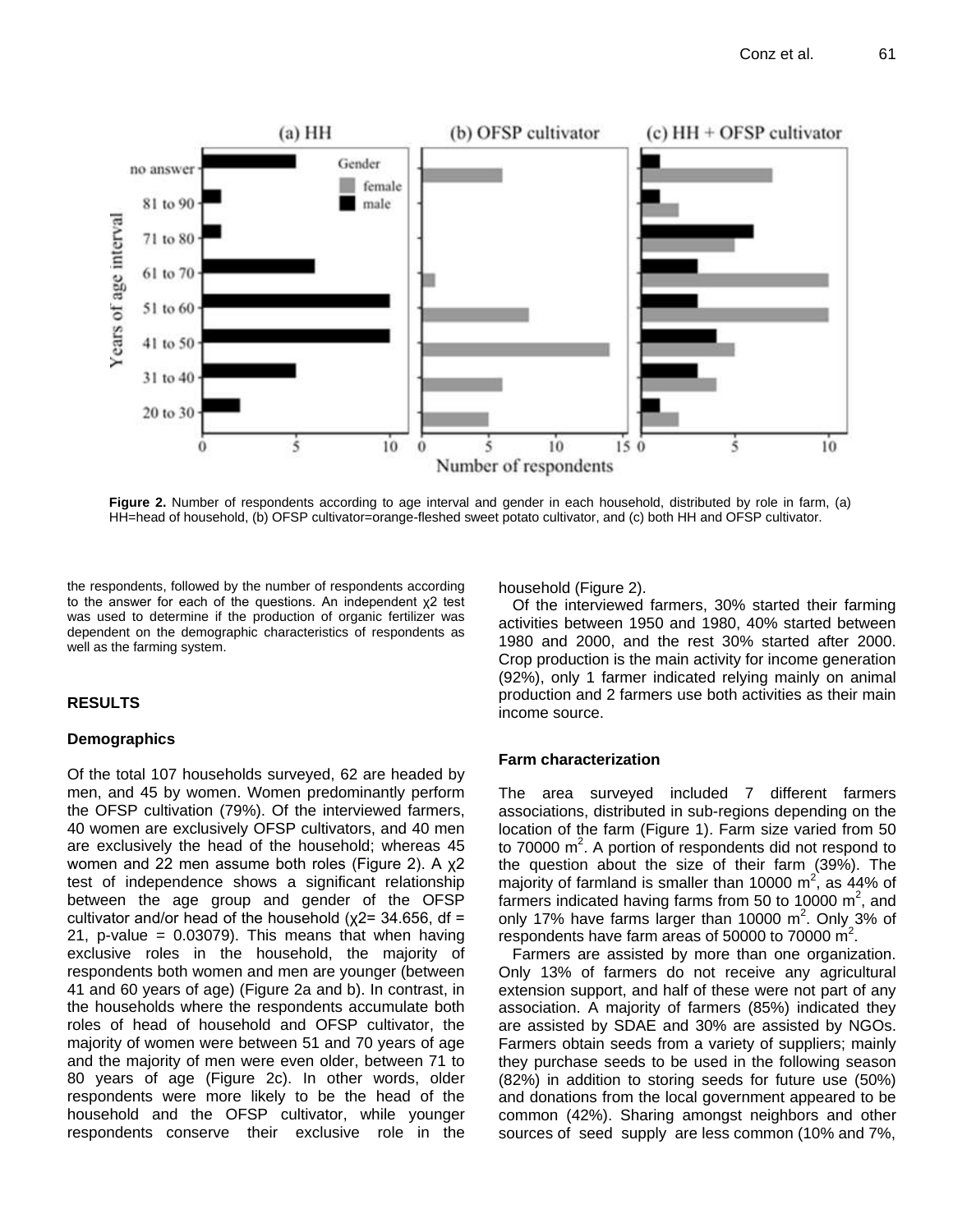

**Figure 2.** Number of respondents according to age interval and gender in each household, distributed by role in farm, (a) HH=head of household, (b) OFSP cultivator=orange-fleshed sweet potato cultivator, and (c) both HH and OFSP cultivator.

the respondents, followed by the number of respondents according to the answer for each of the questions. An independent χ2 test was used to determine if the production of organic fertilizer was dependent on the demographic characteristics of respondents as well as the farming system.

# **RESULTS**

# **Demographics**

Of the total 107 households surveyed, 62 are headed by men, and 45 by women. Women predominantly perform the OFSP cultivation (79%). Of the interviewed farmers, 40 women are exclusively OFSP cultivators, and 40 men are exclusively the head of the household; whereas 45 women and 22 men assume both roles (Figure 2). A χ2 test of independence shows a significant relationship between the age group and gender of the OFSP cultivator and/or head of the household ( $x2= 34.656$ , df = 21, p-value =  $0.03079$ ). This means that when having exclusive roles in the household, the majority of respondents both women and men are younger (between 41 and 60 years of age) (Figure 2a and b). In contrast, in the households where the respondents accumulate both roles of head of household and OFSP cultivator, the majority of women were between 51 and 70 years of age and the majority of men were even older, between 71 to 80 years of age (Figure 2c). In other words, older respondents were more likely to be the head of the household and the OFSP cultivator, while younger respondents conserve their exclusive role in the household (Figure 2).

Of the interviewed farmers, 30% started their farming activities between 1950 and 1980, 40% started between 1980 and 2000, and the rest 30% started after 2000. Crop production is the main activity for income generation (92%), only 1 farmer indicated relying mainly on animal production and 2 farmers use both activities as their main income source.

# **Farm characterization**

The area surveyed included 7 different farmers associations, distributed in sub-regions depending on the location of the farm (Figure 1). Farm size varied from 50 to 70000  $m^2$ . A portion of respondents did not respond to the question about the size of their farm (39%). The majority of farmland is smaller than 10000 m<sup>2</sup>, as 44% of farmers indicated having farms from 50 to 10000  $m^2$ , and only 17% have farms larger than 10000  $m^2$ . Only 3% of respondents have farm areas of 50000 to 70000  $\mathrm{m}^2$ .

Farmers are assisted by more than one organization. Only 13% of farmers do not receive any agricultural extension support, and half of these were not part of any association. A majority of farmers (85%) indicated they are assisted by SDAE and 30% are assisted by NGOs. Farmers obtain seeds from a variety of suppliers; mainly they purchase seeds to be used in the following season (82%) in addition to storing seeds for future use (50%) and donations from the local government appeared to be common (42%). Sharing amongst neighbors and other sources of seed supply are less common (10% and 7%,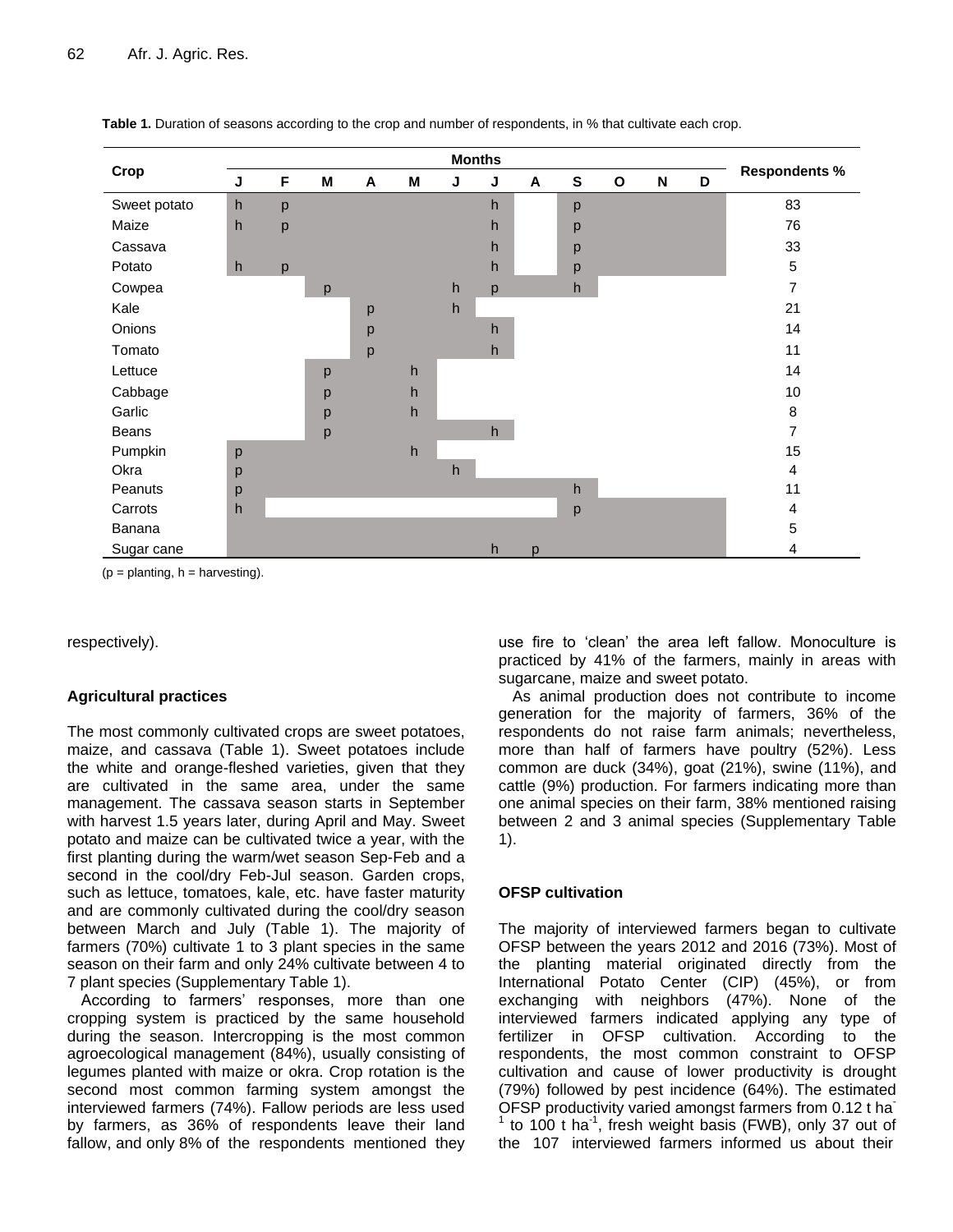|              | <b>Months</b> |   |   |   |   |   |   |   |              |              |   |   |                         |  |
|--------------|---------------|---|---|---|---|---|---|---|--------------|--------------|---|---|-------------------------|--|
| Crop         | J             | F | M | A | M | J | J | A | ${\bf s}$    | $\mathbf{o}$ | N | D | <b>Respondents %</b>    |  |
| Sweet potato | h             | p |   |   |   |   | h |   | p            |              |   |   | 83                      |  |
| Maize        | h             | p |   |   |   |   | h |   | p            |              |   |   | 76                      |  |
| Cassava      |               |   |   |   |   |   | h |   | p            |              |   |   | 33                      |  |
| Potato       | h             | p |   |   |   |   | h |   | p            |              |   |   | $\mathbf 5$             |  |
| Cowpea       |               |   | p |   |   | h | p |   | h            |              |   |   | $\overline{7}$          |  |
| Kale         |               |   |   | р |   | h |   |   |              |              |   |   | 21                      |  |
| Onions       |               |   |   | р |   |   | h |   |              |              |   |   | 14                      |  |
| Tomato       |               |   |   | p |   |   | h |   |              |              |   |   | 11                      |  |
| Lettuce      |               |   | p |   | h |   |   |   |              |              |   |   | 14                      |  |
| Cabbage      |               |   | p |   | h |   |   |   |              |              |   |   | 10                      |  |
| Garlic       |               |   | p |   | h |   |   |   |              |              |   |   | 8                       |  |
| Beans        |               |   | р |   |   |   | h |   |              |              |   |   | $\overline{7}$          |  |
| Pumpkin      | p             |   |   |   | h |   |   |   |              |              |   |   | 15                      |  |
| Okra         | p             |   |   |   |   | h |   |   |              |              |   |   | $\overline{4}$          |  |
| Peanuts      | р             |   |   |   |   |   |   |   | $\mathsf{h}$ |              |   |   | 11                      |  |
| Carrots      | h             |   |   |   |   |   |   |   | p            |              |   |   | $\overline{\mathbf{4}}$ |  |
| Banana       |               |   |   |   |   |   |   |   |              |              |   |   | $\sqrt{5}$              |  |
| Sugar cane   |               |   |   |   |   |   | h | p |              |              |   |   | 4                       |  |

**Table 1.** Duration of seasons according to the crop and number of respondents, in % that cultivate each crop.

 $(p =$  planting,  $h =$  harvesting).

#### respectively).

# **Agricultural practices**

The most commonly cultivated crops are sweet potatoes, maize, and cassava (Table 1). Sweet potatoes include the white and orange-fleshed varieties, given that they are cultivated in the same area, under the same management. The cassava season starts in September with harvest 1.5 years later, during April and May. Sweet potato and maize can be cultivated twice a year, with the first planting during the warm/wet season Sep-Feb and a second in the cool/dry Feb-Jul season. Garden crops, such as lettuce, tomatoes, kale, etc. have faster maturity and are commonly cultivated during the cool/dry season between March and July (Table 1). The majority of farmers (70%) cultivate 1 to 3 plant species in the same season on their farm and only 24% cultivate between 4 to 7 plant species (Supplementary Table 1).

According to farmers' responses, more than one cropping system is practiced by the same household during the season. Intercropping is the most common agroecological management (84%), usually consisting of legumes planted with maize or okra. Crop rotation is the second most common farming system amongst the interviewed farmers (74%). Fallow periods are less used by farmers, as 36% of respondents leave their land fallow, and only 8% of the respondents mentioned they

use fire to 'clean' the area left fallow. Monoculture is practiced by 41% of the farmers, mainly in areas with sugarcane, maize and sweet potato.

As animal production does not contribute to income generation for the majority of farmers, 36% of the respondents do not raise farm animals; nevertheless, more than half of farmers have poultry (52%). Less common are duck (34%), goat (21%), swine (11%), and cattle (9%) production. For farmers indicating more than one animal species on their farm, 38% mentioned raising between 2 and 3 animal species (Supplementary Table 1).

# **OFSP cultivation**

The majority of interviewed farmers began to cultivate OFSP between the years 2012 and 2016 (73%). Most of the planting material originated directly from the International Potato Center (CIP) (45%), or from exchanging with neighbors (47%). None of the interviewed farmers indicated applying any type of fertilizer in OFSP cultivation. According to the respondents, the most common constraint to OFSP cultivation and cause of lower productivity is drought (79%) followed by pest incidence (64%). The estimated OFSP productivity varied amongst farmers from 0.12 t ha- $1$  to 100 t ha $1$ , fresh weight basis (FWB), only 37 out of the 107 interviewed farmers informed us about their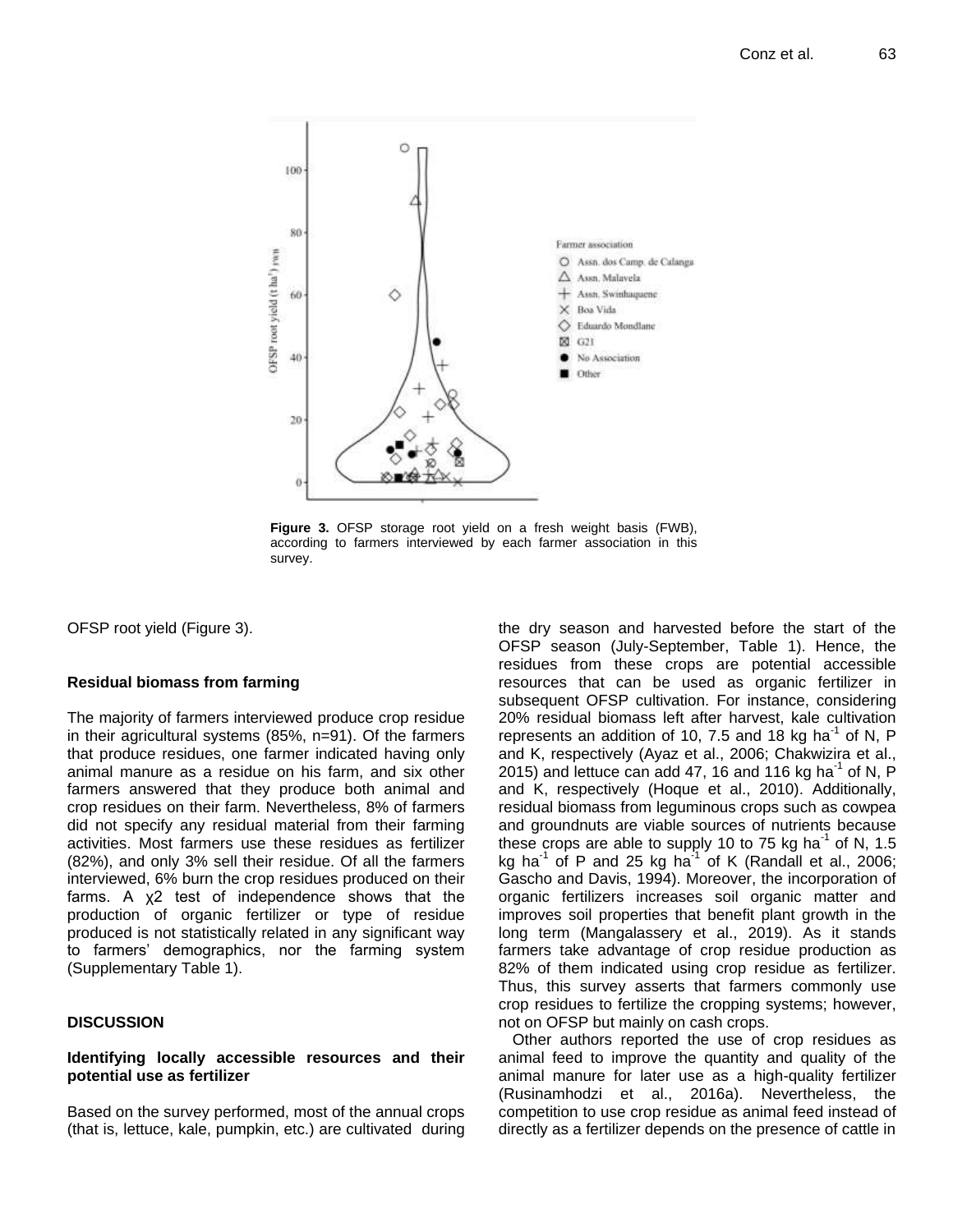

**Figure 3.** OFSP storage root yield on a fresh weight basis (FWB), according to farmers interviewed by each farmer association in this survey.

OFSP root yield (Figure 3).

#### **Residual biomass from farming**

The majority of farmers interviewed produce crop residue in their agricultural systems (85%, n=91). Of the farmers that produce residues, one farmer indicated having only animal manure as a residue on his farm, and six other farmers answered that they produce both animal and crop residues on their farm. Nevertheless, 8% of farmers did not specify any residual material from their farming activities. Most farmers use these residues as fertilizer (82%), and only 3% sell their residue. Of all the farmers interviewed, 6% burn the crop residues produced on their farms. A χ2 test of independence shows that the production of organic fertilizer or type of residue produced is not statistically related in any significant way to farmers' demographics, nor the farming system (Supplementary Table 1).

# **DISCUSSION**

### **Identifying locally accessible resources and their potential use as fertilizer**

Based on the survey performed, most of the annual crops (that is, lettuce, kale, pumpkin, etc.) are cultivated during the dry season and harvested before the start of the OFSP season (July-September, Table 1). Hence, the residues from these crops are potential accessible resources that can be used as organic fertilizer in subsequent OFSP cultivation. For instance, considering 20% residual biomass left after harvest, kale cultivation represents an addition of 10, 7.5 and 18 kg ha<sup>-1</sup> of N, P and K, respectively (Ayaz et al., 2006; Chakwizira et al., 2015) and lettuce can add 47, 16 and 116 kg ha<sup>-1</sup> of N, P and K, respectively (Hoque et al., 2010). Additionally, residual biomass from leguminous crops such as cowpea and groundnuts are viable sources of nutrients because these crops are able to supply 10 to 75 kg ha<sup>-1</sup> of N, 1.5 kg ha<sup>-1</sup> of P and 25 kg ha<sup>-1</sup> of K (Randall et al., 2006; Gascho and Davis, 1994). Moreover, the incorporation of organic fertilizers increases soil organic matter and improves soil properties that benefit plant growth in the long term (Mangalassery et al., 2019). As it stands farmers take advantage of crop residue production as 82% of them indicated using crop residue as fertilizer. Thus, this survey asserts that farmers commonly use crop residues to fertilize the cropping systems; however, not on OFSP but mainly on cash crops.

Other authors reported the use of crop residues as animal feed to improve the quantity and quality of the animal manure for later use as a high-quality fertilizer (Rusinamhodzi et al., 2016a). Nevertheless, the competition to use crop residue as animal feed instead of directly as a fertilizer depends on the presence of cattle in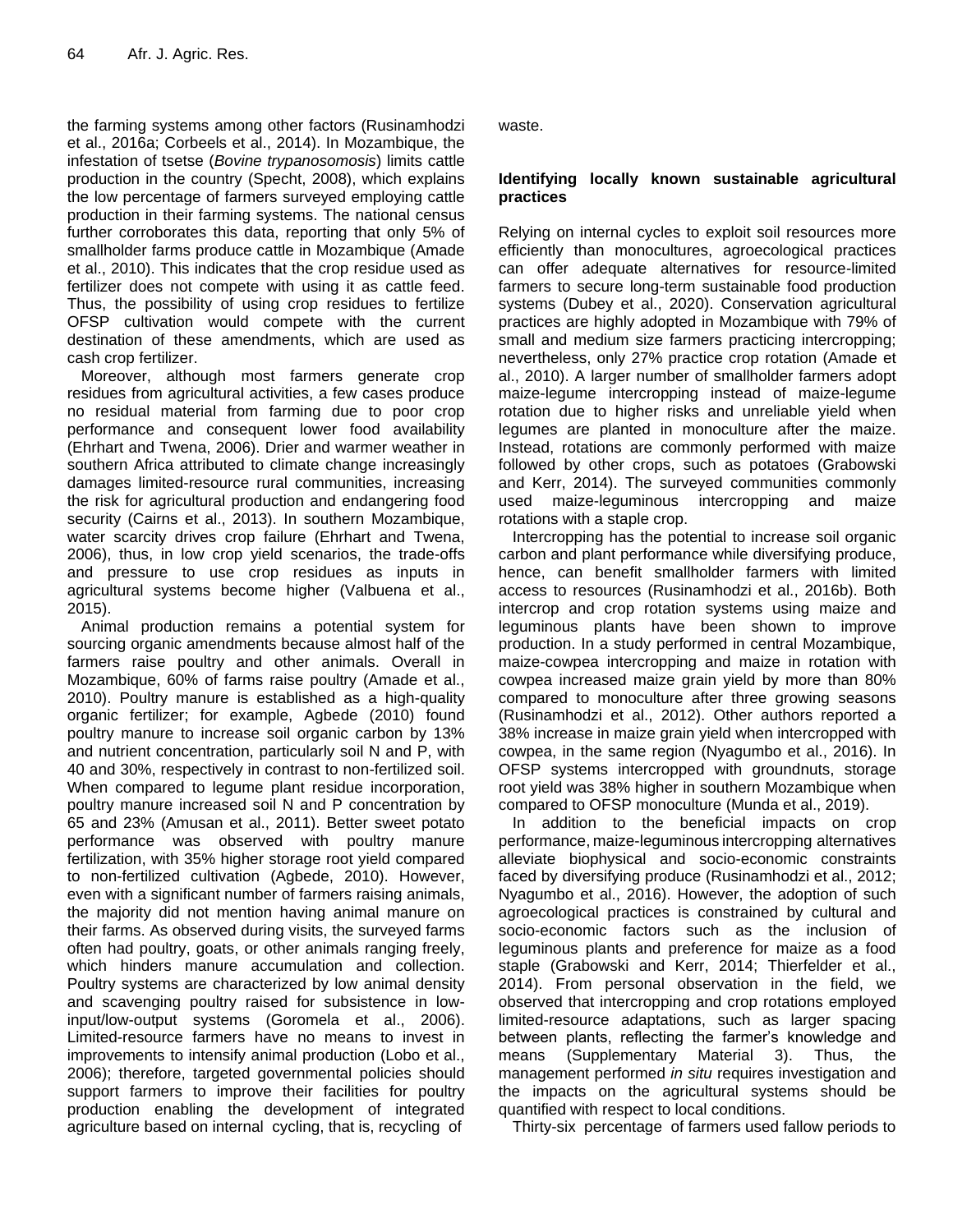the farming systems among other factors (Rusinamhodzi et al., 2016a; Corbeels et al., 2014). In Mozambique, the infestation of tsetse (*Bovine trypanosomosis*) limits cattle production in the country (Specht, 2008), which explains the low percentage of farmers surveyed employing cattle production in their farming systems. The national census further corroborates this data, reporting that only 5% of smallholder farms produce cattle in Mozambique (Amade et al., 2010). This indicates that the crop residue used as fertilizer does not compete with using it as cattle feed. Thus, the possibility of using crop residues to fertilize OFSP cultivation would compete with the current destination of these amendments, which are used as cash crop fertilizer.

Moreover, although most farmers generate crop residues from agricultural activities, a few cases produce no residual material from farming due to poor crop performance and consequent lower food availability (Ehrhart and Twena, 2006). Drier and warmer weather in southern Africa attributed to climate change increasingly damages limited-resource rural communities, increasing the risk for agricultural production and endangering food security (Cairns et al., 2013). In southern Mozambique, water scarcity drives crop failure (Ehrhart and Twena, 2006), thus, in low crop yield scenarios, the trade-offs and pressure to use crop residues as inputs in agricultural systems become higher (Valbuena et al., 2015).

Animal production remains a potential system for sourcing organic amendments because almost half of the farmers raise poultry and other animals. Overall in Mozambique, 60% of farms raise poultry (Amade et al., 2010). Poultry manure is established as a high-quality organic fertilizer; for example, Agbede (2010) found poultry manure to increase soil organic carbon by 13% and nutrient concentration, particularly soil N and P, with 40 and 30%, respectively in contrast to non-fertilized soil. When compared to legume plant residue incorporation, poultry manure increased soil N and P concentration by 65 and 23% (Amusan et al., 2011). Better sweet potato performance was observed with poultry manure fertilization, with 35% higher storage root yield compared to non-fertilized cultivation (Agbede, 2010). However, even with a significant number of farmers raising animals, the majority did not mention having animal manure on their farms. As observed during visits, the surveyed farms often had poultry, goats, or other animals ranging freely, which hinders manure accumulation and collection. Poultry systems are characterized by low animal density and scavenging poultry raised for subsistence in lowinput/low-output systems (Goromela et al., 2006). Limited-resource farmers have no means to invest in improvements to intensify animal production (Lobo et al., 2006); therefore, targeted governmental policies should support farmers to improve their facilities for poultry production enabling the development of integrated agriculture based on internal cycling, that is, recycling of

waste.

# **Identifying locally known sustainable agricultural practices**

Relying on internal cycles to exploit soil resources more efficiently than monocultures, agroecological practices can offer adequate alternatives for resource-limited farmers to secure long-term sustainable food production systems (Dubey et al., 2020). Conservation agricultural practices are highly adopted in Mozambique with 79% of small and medium size farmers practicing intercropping; nevertheless, only 27% practice crop rotation (Amade et al., 2010). A larger number of smallholder farmers adopt maize-legume intercropping instead of maize-legume rotation due to higher risks and unreliable yield when legumes are planted in monoculture after the maize. Instead, rotations are commonly performed with maize followed by other crops, such as potatoes (Grabowski and Kerr, 2014). The surveyed communities commonly used maize-leguminous intercropping and maize rotations with a staple crop.

Intercropping has the potential to increase soil organic carbon and plant performance while diversifying produce, hence, can benefit smallholder farmers with limited access to resources (Rusinamhodzi et al., 2016b). Both intercrop and crop rotation systems using maize and leguminous plants have been shown to improve production. In a study performed in central Mozambique, maize-cowpea intercropping and maize in rotation with cowpea increased maize grain yield by more than 80% compared to monoculture after three growing seasons (Rusinamhodzi et al., 2012). Other authors reported a 38% increase in maize grain yield when intercropped with cowpea, in the same region (Nyagumbo et al., 2016). In OFSP systems intercropped with groundnuts, storage root yield was 38% higher in southern Mozambique when compared to OFSP monoculture (Munda et al., 2019).

In addition to the beneficial impacts on crop performance, maize-leguminous intercropping alternatives alleviate biophysical and socio-economic constraints faced by diversifying produce (Rusinamhodzi et al., 2012; Nyagumbo et al., 2016). However, the adoption of such agroecological practices is constrained by cultural and socio-economic factors such as the inclusion of leguminous plants and preference for maize as a food staple (Grabowski and Kerr, 2014; Thierfelder et al., 2014). From personal observation in the field, we observed that intercropping and crop rotations employed limited-resource adaptations, such as larger spacing between plants, reflecting the farmer's knowledge and means (Supplementary Material 3). Thus, the management performed *in situ* requires investigation and the impacts on the agricultural systems should be quantified with respect to local conditions.

Thirty-six percentage of farmers used fallow periods to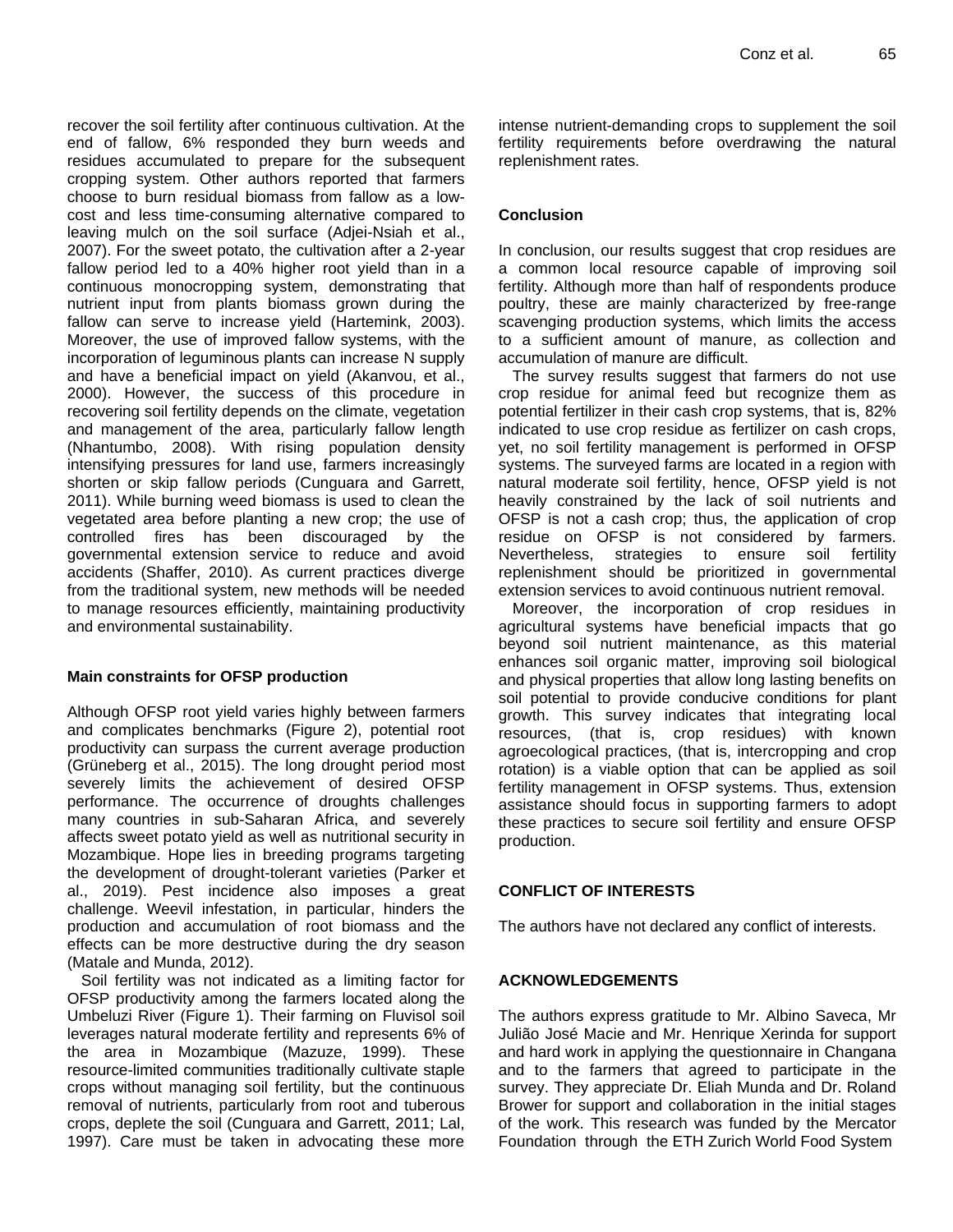recover the soil fertility after continuous cultivation. At the end of fallow, 6% responded they burn weeds and residues accumulated to prepare for the subsequent cropping system. Other authors reported that farmers choose to burn residual biomass from fallow as a lowcost and less time-consuming alternative compared to leaving mulch on the soil surface (Adjei-Nsiah et al., 2007). For the sweet potato, the cultivation after a 2-year fallow period led to a 40% higher root yield than in a continuous monocropping system, demonstrating that nutrient input from plants biomass grown during the fallow can serve to increase yield (Hartemink, 2003). Moreover, the use of improved fallow systems, with the incorporation of leguminous plants can increase N supply and have a beneficial impact on yield (Akanvou, et al., 2000). However, the success of this procedure in recovering soil fertility depends on the climate, vegetation and management of the area, particularly fallow length (Nhantumbo, 2008). With rising population density intensifying pressures for land use, farmers increasingly shorten or skip fallow periods (Cunguara and Garrett, 2011). While burning weed biomass is used to clean the vegetated area before planting a new crop; the use of controlled fires has been discouraged by the governmental extension service to reduce and avoid accidents (Shaffer, 2010). As current practices diverge from the traditional system, new methods will be needed to manage resources efficiently, maintaining productivity and environmental sustainability.

# **Main constraints for OFSP production**

Although OFSP root yield varies highly between farmers and complicates benchmarks (Figure 2), potential root productivity can surpass the current average production (Grüneberg et al., 2015). The long drought period most severely limits the achievement of desired OFSP performance. The occurrence of droughts challenges many countries in sub-Saharan Africa, and severely affects sweet potato yield as well as nutritional security in Mozambique. Hope lies in breeding programs targeting the development of drought-tolerant varieties (Parker et al., 2019). Pest incidence also imposes a great challenge. Weevil infestation, in particular, hinders the production and accumulation of root biomass and the effects can be more destructive during the dry season (Matale and Munda, 2012).

Soil fertility was not indicated as a limiting factor for OFSP productivity among the farmers located along the Umbeluzi River (Figure 1). Their farming on Fluvisol soil leverages natural moderate fertility and represents 6% of the area in Mozambique (Mazuze, 1999). These resource-limited communities traditionally cultivate staple crops without managing soil fertility, but the continuous removal of nutrients, particularly from root and tuberous crops, deplete the soil (Cunguara and Garrett, 2011; Lal, 1997). Care must be taken in advocating these more intense nutrient-demanding crops to supplement the soil fertility requirements before overdrawing the natural replenishment rates.

# **Conclusion**

In conclusion, our results suggest that crop residues are a common local resource capable of improving soil fertility. Although more than half of respondents produce poultry, these are mainly characterized by free-range scavenging production systems, which limits the access to a sufficient amount of manure, as collection and accumulation of manure are difficult.

The survey results suggest that farmers do not use crop residue for animal feed but recognize them as potential fertilizer in their cash crop systems, that is, 82% indicated to use crop residue as fertilizer on cash crops, yet, no soil fertility management is performed in OFSP systems. The surveyed farms are located in a region with natural moderate soil fertility, hence, OFSP yield is not heavily constrained by the lack of soil nutrients and OFSP is not a cash crop; thus, the application of crop residue on OFSP is not considered by farmers. Nevertheless, strategies to ensure soil fertility replenishment should be prioritized in governmental extension services to avoid continuous nutrient removal.

Moreover, the incorporation of crop residues in agricultural systems have beneficial impacts that go beyond soil nutrient maintenance, as this material enhances soil organic matter, improving soil biological and physical properties that allow long lasting benefits on soil potential to provide conducive conditions for plant growth. This survey indicates that integrating local resources, (that is, crop residues) with known agroecological practices, (that is, intercropping and crop rotation) is a viable option that can be applied as soil fertility management in OFSP systems. Thus, extension assistance should focus in supporting farmers to adopt these practices to secure soil fertility and ensure OFSP production.

# **CONFLICT OF INTERESTS**

The authors have not declared any conflict of interests.

# **ACKNOWLEDGEMENTS**

The authors express gratitude to Mr. Albino Saveca, Mr Julião José Macie and Mr. Henrique Xerinda for support and hard work in applying the questionnaire in Changana and to the farmers that agreed to participate in the survey. They appreciate Dr. Eliah Munda and Dr. Roland Brower for support and collaboration in the initial stages of the work. This research was funded by the Mercator Foundation through the ETH Zurich World Food System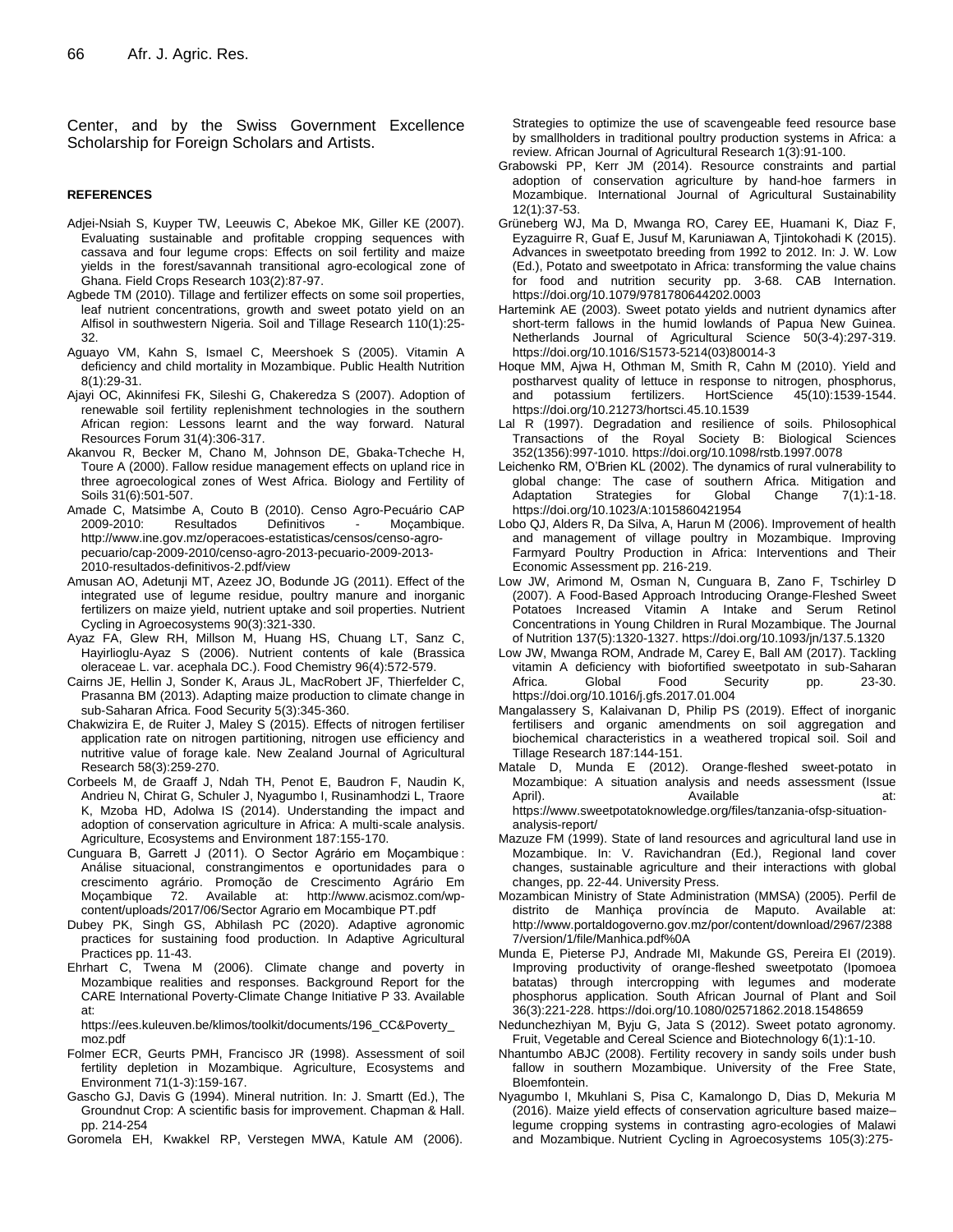Center, and by the Swiss Government Excellence Scholarship for Foreign Scholars and Artists.

#### **REFERENCES**

- Adjei-Nsiah S, Kuyper TW, Leeuwis C, Abekoe MK, Giller KE (2007). Evaluating sustainable and profitable cropping sequences with cassava and four legume crops: Effects on soil fertility and maize yields in the forest/savannah transitional agro-ecological zone of Ghana. Field Crops Research 103(2):87-97.
- Agbede TM (2010). Tillage and fertilizer effects on some soil properties, leaf nutrient concentrations, growth and sweet potato yield on an Alfisol in southwestern Nigeria. Soil and Tillage Research 110(1):25- 32.
- Aguayo VM, Kahn S, Ismael C, Meershoek S (2005). Vitamin A deficiency and child mortality in Mozambique. Public Health Nutrition 8(1):29-31.
- Ajayi OC, Akinnifesi FK, Sileshi G, Chakeredza S (2007). Adoption of renewable soil fertility replenishment technologies in the southern African region: Lessons learnt and the way forward. Natural Resources Forum 31(4):306-317.
- Akanvou R, Becker M, Chano M, Johnson DE, Gbaka-Tcheche H, Toure A (2000). Fallow residue management effects on upland rice in three agroecological zones of West Africa. Biology and Fertility of Soils 31(6):501-507.
- Amade C, Matsimbe A, Couto B (2010). Censo Agro-Pecuário CAP 2009-2010: Resultados Definitivos - Moçambique. http://www.ine.gov.mz/operacoes-estatisticas/censos/censo-agropecuario/cap-2009-2010/censo-agro-2013-pecuario-2009-2013- 2010-resultados-definitivos-2.pdf/view
- Amusan AO, Adetunji MT, Azeez JO, Bodunde JG (2011). Effect of the integrated use of legume residue, poultry manure and inorganic fertilizers on maize yield, nutrient uptake and soil properties. Nutrient Cycling in Agroecosystems 90(3):321-330.
- Ayaz FA, Glew RH, Millson M, Huang HS, Chuang LT, Sanz C, Hayirlioglu-Ayaz S (2006). Nutrient contents of kale (Brassica oleraceae L. var. acephala DC.). Food Chemistry 96(4):572-579.
- Cairns JE, Hellin J, Sonder K, Araus JL, MacRobert JF, Thierfelder C, Prasanna BM (2013). Adapting maize production to climate change in sub-Saharan Africa. Food Security 5(3):345-360.
- Chakwizira E, de Ruiter J, Maley S (2015). Effects of nitrogen fertiliser application rate on nitrogen partitioning, nitrogen use efficiency and nutritive value of forage kale. New Zealand Journal of Agricultural Research 58(3):259-270.
- Corbeels M, de Graaff J, Ndah TH, Penot E, Baudron F, Naudin K, Andrieu N, Chirat G, Schuler J, Nyagumbo I, Rusinamhodzi L, Traore K, Mzoba HD, Adolwa IS (2014). Understanding the impact and adoption of conservation agriculture in Africa: A multi-scale analysis. Agriculture, Ecosystems and Environment 187:155-170.
- Cunguara B, Garrett J (2011). O Sector Agrário em Moçambique : Análise situacional, constrangimentos e oportunidades para o crescimento agrário. Promoção de Crescimento Agrário Em Moçambique 72. Available at: http://www.acismoz.com/wpcontent/uploads/2017/06/Sector Agrario em Mocambique PT.pdf
- Dubey PK, Singh GS, Abhilash PC (2020). Adaptive agronomic practices for sustaining food production. In Adaptive Agricultural Practices pp. 11-43.
- Ehrhart C, Twena M (2006). Climate change and poverty in Mozambique realities and responses. Background Report for the CARE International Poverty-Climate Change Initiative P 33. Available at:

https://ees.kuleuven.be/klimos/toolkit/documents/196\_CC&Poverty\_ moz.pdf

- Folmer ECR, Geurts PMH, Francisco JR (1998). Assessment of soil fertility depletion in Mozambique. Agriculture, Ecosystems and Environment 71(1-3):159-167.
- Gascho GJ, Davis G (1994). Mineral nutrition. In: J. Smartt (Ed.), The Groundnut Crop: A scientific basis for improvement. Chapman & Hall. pp. 214-254
- Goromela EH, Kwakkel RP, Verstegen MWA, Katule AM (2006).

Strategies to optimize the use of scavengeable feed resource base by smallholders in traditional poultry production systems in Africa: a review. African Journal of Agricultural Research 1(3):91-100.

- Grabowski PP, Kerr JM (2014). Resource constraints and partial adoption of conservation agriculture by hand-hoe farmers in Mozambique. International Journal of Agricultural Sustainability 12(1):37-53.
- Grüneberg WJ, Ma D, Mwanga RO, Carey EE, Huamani K, Diaz F, Eyzaguirre R, Guaf E, Jusuf M, Karuniawan A, Tjintokohadi K (2015). Advances in sweetpotato breeding from 1992 to 2012. In: J. W. Low (Ed.), Potato and sweetpotato in Africa: transforming the value chains for food and nutrition security pp. 3-68. CAB Internation. https://doi.org/10.1079/9781780644202.0003
- Hartemink AE (2003). Sweet potato yields and nutrient dynamics after short-term fallows in the humid lowlands of Papua New Guinea. Netherlands Journal of Agricultural Science 50(3-4):297-319. https://doi.org/10.1016/S1573-5214(03)80014-3
- Hoque MM, Ajwa H, Othman M, Smith R, Cahn M (2010). Yield and postharvest quality of lettuce in response to nitrogen, phosphorus, and potassium fertilizers. HortScience 45(10):1539-1544. https://doi.org/10.21273/hortsci.45.10.1539
- Lal R (1997). Degradation and resilience of soils. Philosophical Transactions of the Royal Society B: Biological Sciences 352(1356):997-1010. https://doi.org/10.1098/rstb.1997.0078
- Leichenko RM, O'Brien KL (2002). The dynamics of rural vulnerability to global change: The case of southern Africa. Mitigation and Adaptation Strategies for Global Change 7(1):1-18. https://doi.org/10.1023/A:1015860421954
- Lobo QJ, Alders R, Da Silva, A, Harun M (2006). Improvement of health and management of village poultry in Mozambique. Improving Farmyard Poultry Production in Africa: Interventions and Their Economic Assessment pp. 216-219.
- Low JW, Arimond M, Osman N, Cunguara B, Zano F, Tschirley D (2007). A Food-Based Approach Introducing Orange-Fleshed Sweet Potatoes Increased Vitamin A Intake and Serum Retinol Concentrations in Young Children in Rural Mozambique. The Journal of Nutrition 137(5):1320-1327. https://doi.org/10.1093/jn/137.5.1320
- Low JW, Mwanga ROM, Andrade M, Carey E, Ball AM (2017). Tackling vitamin A deficiency with biofortified sweetpotato in sub-Saharan Africa. Global Food Security pp. 23-30. https://doi.org/10.1016/j.gfs.2017.01.004
- Mangalassery S, Kalaivanan D, Philip PS (2019). Effect of inorganic fertilisers and organic amendments on soil aggregation and biochemical characteristics in a weathered tropical soil. Soil and Tillage Research 187:144-151.
- Matale D, Munda E (2012). Orange-fleshed sweet-potato in Mozambique: A situation analysis and needs assessment (Issue April). Available at: https://www.sweetpotatoknowledge.org/files/tanzania-ofsp-situationanalysis-report/
- Mazuze FM (1999). State of land resources and agricultural land use in Mozambique. In: V. Ravichandran (Ed.), Regional land cover changes, sustainable agriculture and their interactions with global changes, pp. 22-44. University Press.
- Mozambican Ministry of State Administration (MMSA) (2005). Perfil de distrito de Manhiça província de Maputo. Available at: http://www.portaldogoverno.gov.mz/por/content/download/2967/2388 7/version/1/file/Manhica.pdf%0A
- Munda E, Pieterse PJ, Andrade MI, Makunde GS, Pereira EI (2019). Improving productivity of orange-fleshed sweetpotato (Ipomoea batatas) through intercropping with legumes and moderate phosphorus application. South African Journal of Plant and Soil 36(3):221-228. https://doi.org/10.1080/02571862.2018.1548659
- Nedunchezhiyan M, Byju G, Jata S (2012). Sweet potato agronomy. Fruit, Vegetable and Cereal Science and Biotechnology 6(1):1-10.
- Nhantumbo ABJC (2008). Fertility recovery in sandy soils under bush fallow in southern Mozambique. University of the Free State, Bloemfontein.
- Nyagumbo I, Mkuhlani S, Pisa C, Kamalongo D, Dias D, Mekuria M (2016). Maize yield effects of conservation agriculture based maize– legume cropping systems in contrasting agro-ecologies of Malawi and Mozambique. Nutrient Cycling in Agroecosystems 105(3):275-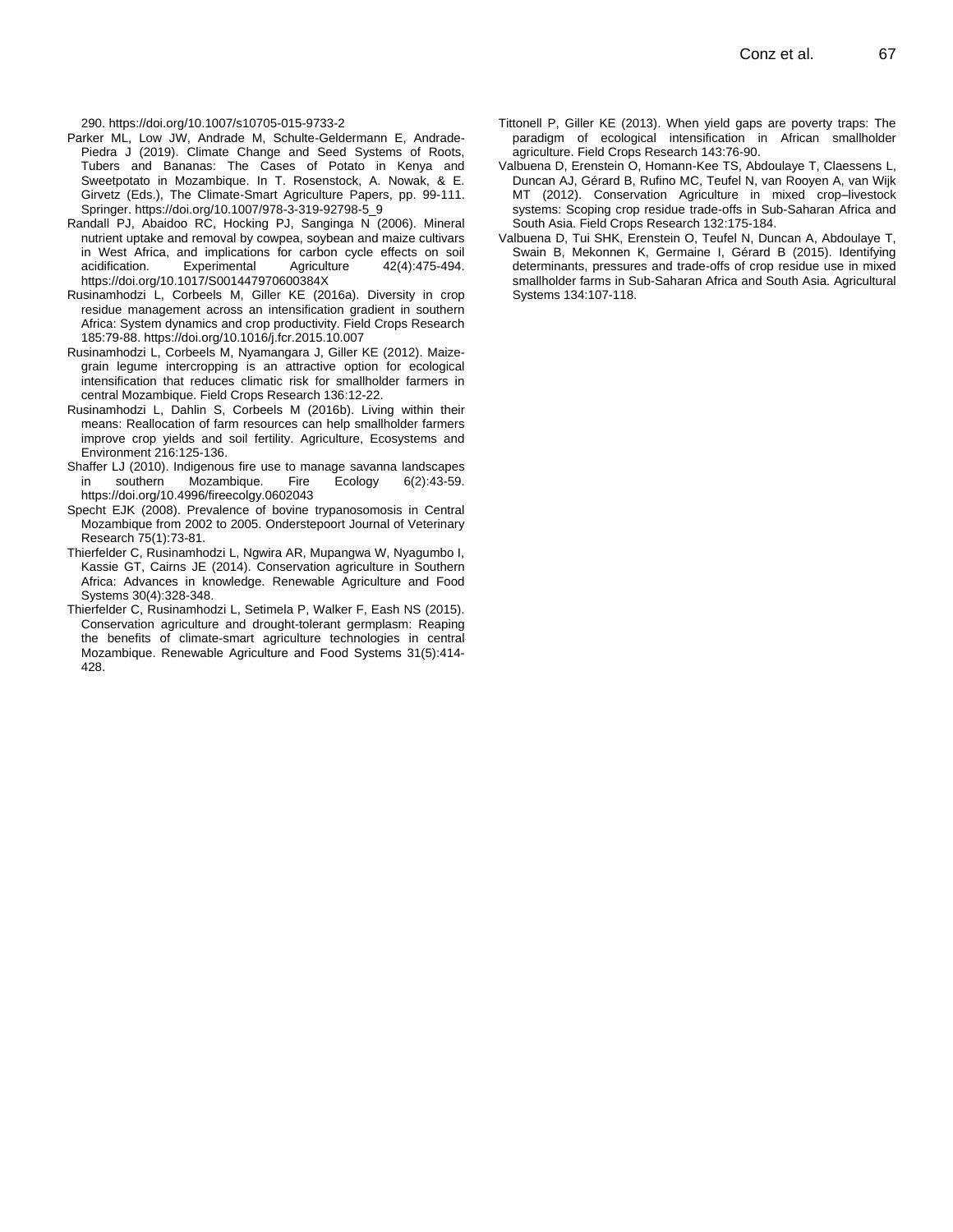290. https://doi.org/10.1007/s10705-015-9733-2

- Parker ML, Low JW, Andrade M, Schulte-Geldermann E, Andrade-Piedra J (2019). Climate Change and Seed Systems of Roots, Tubers and Bananas: The Cases of Potato in Kenya and Sweetpotato in Mozambique. In T. Rosenstock, A. Nowak, & E. Girvetz (Eds.), The Climate-Smart Agriculture Papers, pp. 99-111. Springer. https://doi.org/10.1007/978-3-319-92798-5\_9
- Randall PJ, Abaidoo RC, Hocking PJ, Sanginga N (2006). Mineral nutrient uptake and removal by cowpea, soybean and maize cultivars in West Africa, and implications for carbon cycle effects on soil acidification. Experimental Agriculture 42(4):475-494. https://doi.org/10.1017/S001447970600384X
- Rusinamhodzi L, Corbeels M, Giller KE (2016a). Diversity in crop residue management across an intensification gradient in southern Africa: System dynamics and crop productivity. Field Crops Research 185:79-88. https://doi.org/10.1016/j.fcr.2015.10.007
- Rusinamhodzi L, Corbeels M, Nyamangara J, Giller KE (2012). Maizegrain legume intercropping is an attractive option for ecological intensification that reduces climatic risk for smallholder farmers in central Mozambique. Field Crops Research 136:12-22.
- Rusinamhodzi L, Dahlin S, Corbeels M (2016b). Living within their means: Reallocation of farm resources can help smallholder farmers improve crop yields and soil fertility. Agriculture, Ecosystems and Environment 216:125-136.
- Shaffer LJ (2010). Indigenous fire use to manage savanna landscapes in southern Mozambique. Fire Ecology 6(2):43-59. https://doi.org/10.4996/fireecolgy.0602043
- Specht EJK (2008). Prevalence of bovine trypanosomosis in Central Mozambique from 2002 to 2005. Onderstepoort Journal of Veterinary Research 75(1):73-81.
- Thierfelder C, Rusinamhodzi L, Ngwira AR, Mupangwa W, Nyagumbo I, Kassie GT, Cairns JE (2014). Conservation agriculture in Southern Africa: Advances in knowledge. Renewable Agriculture and Food Systems 30(4):328-348.
- Thierfelder C, Rusinamhodzi L, Setimela P, Walker F, Eash NS (2015). Conservation agriculture and drought-tolerant germplasm: Reaping the benefits of climate-smart agriculture technologies in central Mozambique. Renewable Agriculture and Food Systems 31(5):414- 428.
- Tittonell P, Giller KE (2013). When yield gaps are poverty traps: The paradigm of ecological intensification in African smallholder agriculture. Field Crops Research 143:76-90.
- Valbuena D, Erenstein O, Homann-Kee TS, Abdoulaye T, Claessens L, Duncan AJ, Gérard B, Rufino MC, Teufel N, van Rooyen A, van Wijk MT (2012). Conservation Agriculture in mixed crop–livestock systems: Scoping crop residue trade-offs in Sub-Saharan Africa and South Asia. Field Crops Research 132:175-184.
- Valbuena D, Tui SHK, Erenstein O, Teufel N, Duncan A, Abdoulaye T, Swain B, Mekonnen K, Germaine I, Gérard B (2015). Identifying determinants, pressures and trade-offs of crop residue use in mixed smallholder farms in Sub-Saharan Africa and South Asia. Agricultural Systems 134:107-118.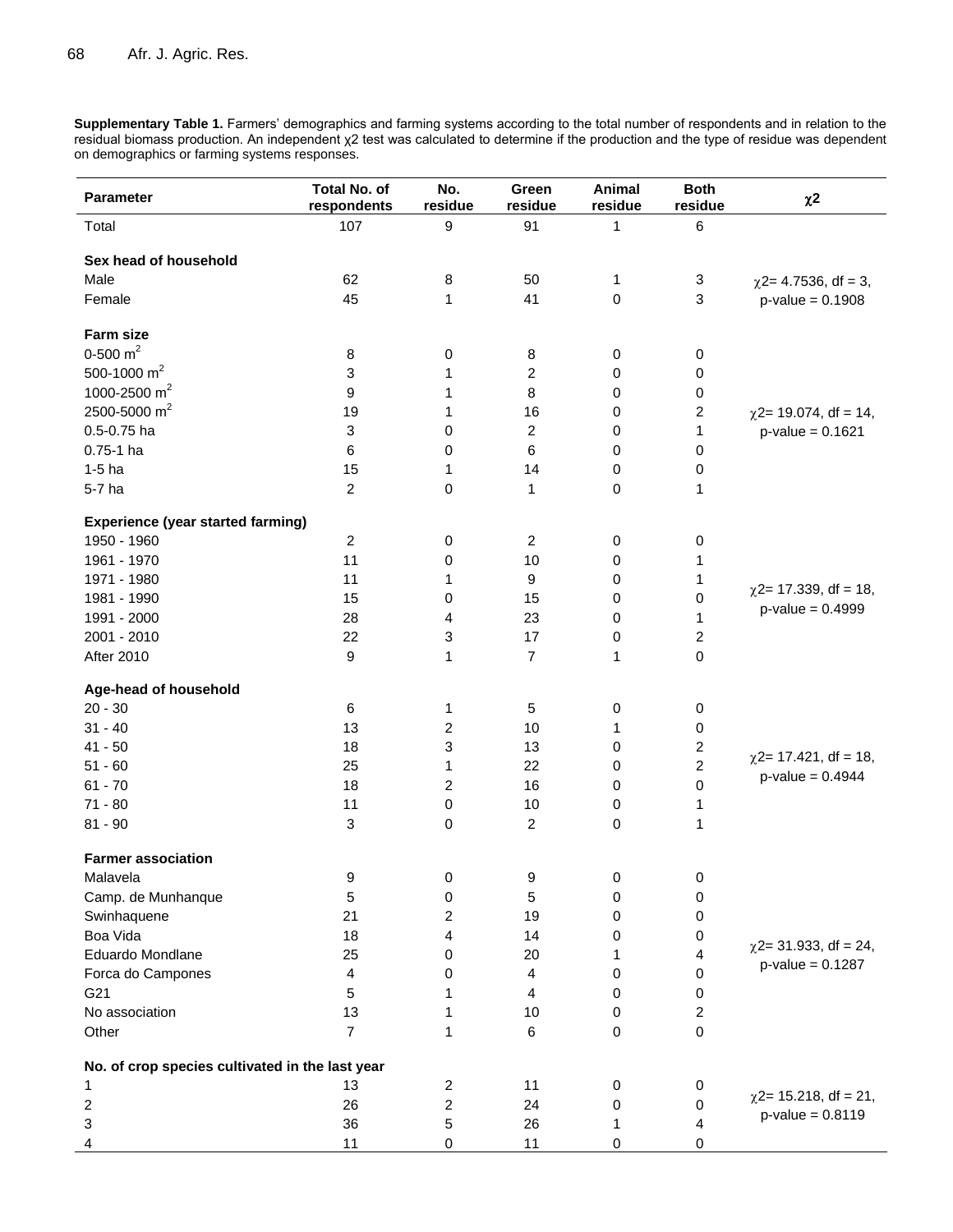**Supplementary Table 1.** Farmers' demographics and farming systems according to the total number of respondents and in relation to the residual biomass production. An independent χ2 test was calculated to determine if the production and the type of residue was dependent on demographics or farming systems responses.

| <b>Parameter</b>                                | <b>Total No. of</b><br>respondents | No.<br>residue   | Green<br>residue        | Animal<br>residue | <b>Both</b><br>residue  | $\chi$ 2                                          |
|-------------------------------------------------|------------------------------------|------------------|-------------------------|-------------------|-------------------------|---------------------------------------------------|
| Total                                           | 107                                | $\boldsymbol{9}$ | 91                      | 1                 | 6                       |                                                   |
| Sex head of household                           |                                    |                  |                         |                   |                         |                                                   |
| Male                                            | 62                                 | 8                | 50                      | 1                 | 3                       | $\chi$ 2= 4.7536, df = 3,                         |
| Female                                          | 45                                 | 1                | 41                      | 0                 | $\mathfrak{S}$          | $p$ -value = 0.1908                               |
| <b>Farm size</b>                                |                                    |                  |                         |                   |                         |                                                   |
| 0-500 $m2$                                      | 8                                  | 0                | 8                       | 0                 | 0                       |                                                   |
| 500-1000 $m2$                                   | 3                                  | 1                | 2                       | 0                 | 0                       |                                                   |
| 1000-2500 m <sup>2</sup>                        | 9                                  | 1                | 8                       | 0                 | 0                       |                                                   |
| 2500-5000 m <sup>2</sup>                        | 19                                 | 1                | 16                      | 0                 | $\boldsymbol{2}$        | $\chi$ 2= 19.074, df = 14,                        |
| 0.5-0.75 ha                                     | 3                                  | $\pmb{0}$        | $\boldsymbol{2}$        | 0                 | $\mathbf{1}$            | $p$ -value = 0.1621                               |
| $0.75-1$ ha                                     | 6                                  | 0                | 6                       | 0                 | $\pmb{0}$               |                                                   |
| $1-5$ ha                                        | 15                                 | 1                | 14                      | 0                 | 0                       |                                                   |
| 5-7 ha                                          | $\overline{2}$                     | 0                | 1                       | 0                 | 1                       |                                                   |
| <b>Experience (year started farming)</b>        |                                    |                  |                         |                   |                         |                                                   |
| 1950 - 1960                                     | $\overline{2}$                     | 0                | $\overline{c}$          | 0                 | 0                       |                                                   |
| 1961 - 1970                                     | 11                                 | 0                | 10                      | 0                 | 1                       |                                                   |
| 1971 - 1980                                     | 11                                 | 1                | 9                       | 0                 | 1                       |                                                   |
| 1981 - 1990                                     | 15                                 | 0                | 15                      | 0                 | 0                       | $\chi$ 2= 17.339, df = 18,                        |
| 1991 - 2000                                     | 28                                 | 4                | 23                      | 0                 | 1                       | $p$ -value = 0.4999                               |
| 2001 - 2010                                     | 22                                 | 3                | 17                      | 0                 | $\boldsymbol{2}$        |                                                   |
| <b>After 2010</b>                               | $\boldsymbol{9}$                   | 1                | $\overline{7}$          | 1                 | $\pmb{0}$               |                                                   |
| Age-head of household                           |                                    |                  |                         |                   |                         |                                                   |
| $20 - 30$                                       | 6                                  | 1                | 5                       | 0                 | 0                       |                                                   |
| $31 - 40$                                       | 13                                 | 2                | 10                      | 1                 | 0                       |                                                   |
| $41 - 50$                                       | 18                                 | 3                | 13                      | 0                 | $\overline{c}$          |                                                   |
| $51 - 60$                                       | 25                                 | 1                | 22                      | 0                 | $\boldsymbol{2}$        | $\chi$ 2= 17.421, df = 18,<br>$p$ -value = 0.4944 |
| $61 - 70$                                       | 18                                 | $\overline{2}$   | 16                      | 0                 | $\pmb{0}$               |                                                   |
| $71 - 80$                                       | 11                                 | $\pmb{0}$        | 10                      | $\pmb{0}$         | 1                       |                                                   |
| $81 - 90$                                       | 3                                  | $\pmb{0}$        | $\overline{c}$          | 0                 | 1                       |                                                   |
| <b>Farmer association</b>                       |                                    |                  |                         |                   |                         |                                                   |
| Malavela                                        | 9                                  | 0                | 9                       | 0                 | 0                       |                                                   |
| Camp. de Munhanque                              | 5                                  | 0                | 5                       | 0                 | 0                       |                                                   |
| Swinhaquene                                     | 21                                 | $\overline{c}$   | 19                      | 0                 | 0                       |                                                   |
| Boa Vida                                        | 18                                 | 4                | 14                      | 0                 | 0                       |                                                   |
| Eduardo Mondlane                                | 25                                 | 0                | 20                      | 1                 | $\overline{\mathbf{4}}$ | $\chi$ 2= 31.933, df = 24,                        |
| Forca do Campones                               | $\overline{4}$                     | 0                | $\overline{\mathbf{4}}$ | 0                 | 0                       | $p$ -value = 0.1287                               |
| G21                                             | 5                                  | 1                | 4                       | 0                 | 0                       |                                                   |
| No association                                  | 13                                 | 1                | 10                      | 0                 | 2                       |                                                   |
| Other                                           | $\overline{7}$                     | 1                | 6                       | 0                 | 0                       |                                                   |
| No. of crop species cultivated in the last year |                                    |                  |                         |                   |                         |                                                   |
| 1                                               | 13                                 | $\overline{c}$   | 11                      | 0                 | 0                       |                                                   |
| 2                                               | 26                                 | $\overline{2}$   | 24                      | 0                 | 0                       | $\chi$ 2= 15.218, df = 21,                        |
| 3                                               | 36                                 | 5                | 26                      | 1                 | 4                       | $p$ -value = $0.8119$                             |
| 4                                               | 11                                 | 0                | 11                      | 0                 | 0                       |                                                   |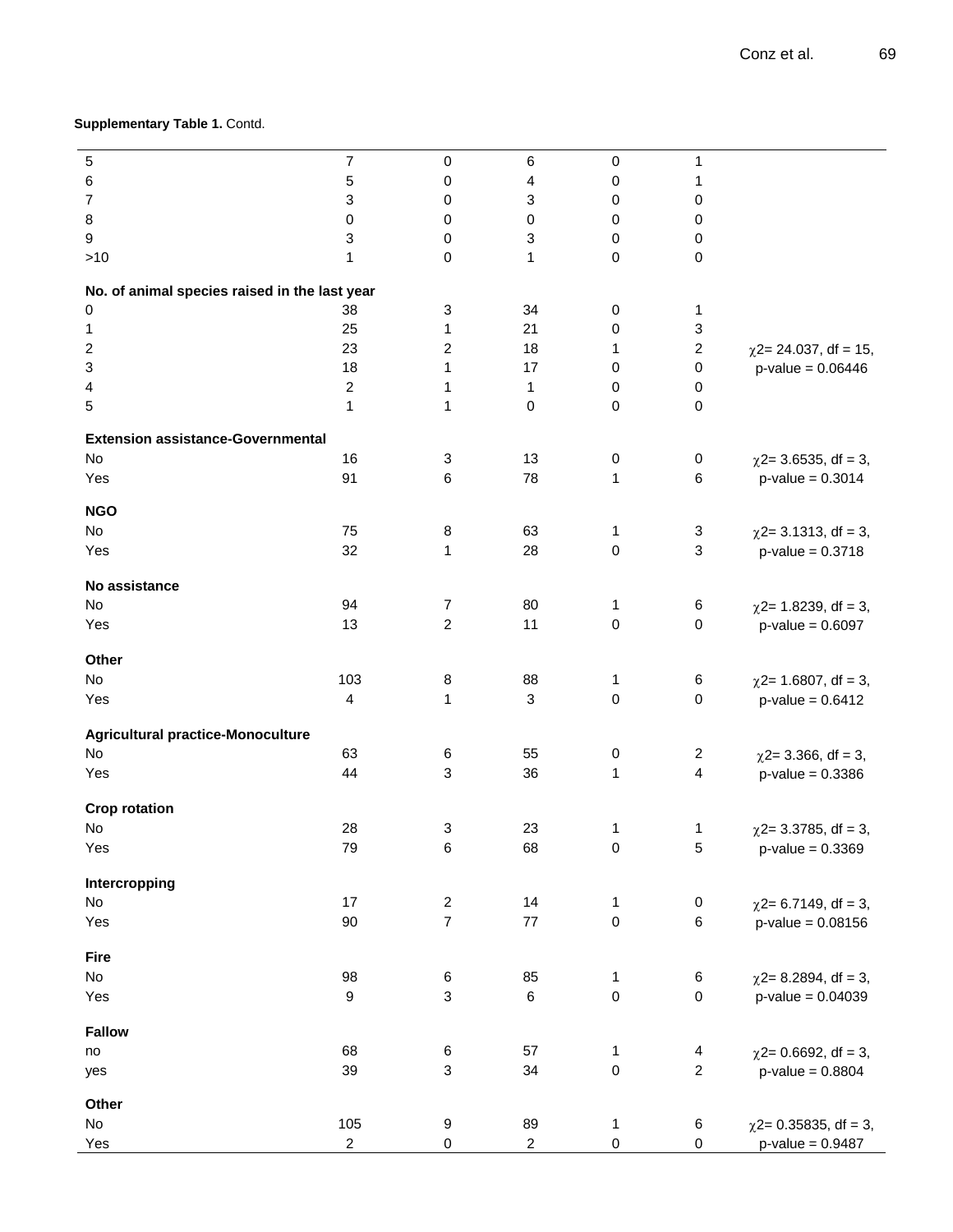# **Supplementary Table 1.** Contd.

| 5<br>$\overline{7}$<br>0<br>6<br>$\pmb{0}$<br>1<br>6<br>5<br>0<br>4<br>1<br>0<br>7<br>3<br>3<br>0<br>0<br>0<br>8<br>0<br>$\mathbf 0$<br>0<br>0<br>0<br>3<br>3<br>9<br>0<br>0<br>0<br>>10<br>1<br>0<br>1<br>0<br>0<br>No. of animal species raised in the last year<br>3<br>0<br>38<br>34<br>0<br>1<br>3<br>21<br>25<br>1<br>0<br>1<br>$\overline{c}$<br>2<br>$\overline{\mathbf{c}}$<br>18<br>23<br>$\chi$ 2= 24.037, df = 15,<br>1<br>3<br>18<br>$\mathbf{1}$<br>17<br>$\pmb{0}$<br>0<br>$p$ -value = 0.06446<br>$\sqrt{2}$<br>$\mathbf{1}$<br>$\mathbf{1}$<br>0<br>4<br>0<br>5<br>$\mathbf{1}$<br>1<br>$\mathbf 0$<br>0<br>0<br><b>Extension assistance-Governmental</b><br>No<br>16<br>13<br>3<br>0<br>0<br>$\chi$ 2= 3.6535, df = 3,<br>91<br>6<br>78<br>1<br>6<br>Yes<br>$p$ -value = 0.3014<br><b>NGO</b><br>No<br>75<br>8<br>63<br>1<br>3<br>$\chi$ 2= 3.1313, df = 3,<br>32<br>3<br>$\mathbf{1}$<br>28<br>0<br>Yes<br>$p$ -value = 0.3718<br>No assistance<br>No<br>94<br>$\overline{7}$<br>80<br>1<br>6<br>$\chi$ 2= 1.8239, df = 3,<br>$\overline{c}$<br>$\mathsf 0$<br>13<br>11<br>0<br>Yes<br>$p$ -value = $0.6097$<br>Other<br>No<br>103<br>8<br>88<br>1<br>6<br>$\chi$ 2= 1.6807, df = 3,<br>4<br>$\mathbf{1}$<br>$\sqrt{3}$<br>0<br>$\pmb{0}$<br>Yes<br>$p$ -value = $0.6412$<br><b>Agricultural practice-Monoculture</b><br>No<br>63<br>55<br>6<br>0<br>$\overline{c}$<br>$\chi$ 2= 3.366, df = 3,<br>4<br>44<br>$\ensuremath{\mathsf{3}}$<br>36<br>Yes<br>1<br>$p$ -value = 0.3386<br><b>Crop rotation</b><br>28<br>3<br>23<br>No<br>1<br>1<br>$\chi$ 2= 3.3785, df = 3,<br>$\sqrt{5}$<br>79<br>68<br>$\pmb{0}$<br>$p$ -value = $0.3369$<br>Yes<br>6<br>Intercropping<br>No<br>17<br>$\sqrt{2}$<br>14<br>$\pmb{0}$<br>$\mathbf{1}$<br>$\chi$ 2= 6.7149, df = 3,<br>$\overline{7}$<br>$\pmb{0}$<br>$77 \,$<br>6<br>90<br>Yes<br>$p$ -value = 0.08156<br>Fire<br>No<br>98<br>85<br>$\,6$<br>$\mathbf{1}$<br>6<br>$\chi$ 2= 8.2894, df = 3,<br>$\mathsf 3$<br>$\pmb{0}$<br>$\mathsf{O}\xspace$<br>$\boldsymbol{9}$<br>$\,6\,$<br>Yes<br>$p$ -value = 0.04039<br><b>Fallow</b><br>68<br>$\,6$<br>57<br>$\mathbf{1}$<br>$\overline{\mathbf{4}}$<br>$\chi$ 2= 0.6692, df = 3,<br>no<br>$\overline{c}$<br>$\ensuremath{\mathsf{3}}$<br>$\pmb{0}$<br>39<br>34<br>$p$ -value = 0.8804<br>yes<br>Other<br>105<br>No<br>$\boldsymbol{9}$<br>89<br>$\mathbf{1}$<br>6<br>$\chi$ 2= 0.35835, df = 3,<br>$\overline{c}$<br>$\mathsf 0$<br>0<br>$\boldsymbol{2}$<br>0<br>Yes<br>$p$ -value = $0.9487$ |  |  |  |  |
|--------------------------------------------------------------------------------------------------------------------------------------------------------------------------------------------------------------------------------------------------------------------------------------------------------------------------------------------------------------------------------------------------------------------------------------------------------------------------------------------------------------------------------------------------------------------------------------------------------------------------------------------------------------------------------------------------------------------------------------------------------------------------------------------------------------------------------------------------------------------------------------------------------------------------------------------------------------------------------------------------------------------------------------------------------------------------------------------------------------------------------------------------------------------------------------------------------------------------------------------------------------------------------------------------------------------------------------------------------------------------------------------------------------------------------------------------------------------------------------------------------------------------------------------------------------------------------------------------------------------------------------------------------------------------------------------------------------------------------------------------------------------------------------------------------------------------------------------------------------------------------------------------------------------------------------------------------------------------------------------------------------------------------------------------------------------------------------------------------------------------------------------------------------------------------------------------------------------------------------------------------------------------------------------------------------------------------------------------------------------------------------------------------------------------------------------------------------------------------------------------------|--|--|--|--|
|                                                                                                                                                                                                                                                                                                                                                                                                                                                                                                                                                                                                                                                                                                                                                                                                                                                                                                                                                                                                                                                                                                                                                                                                                                                                                                                                                                                                                                                                                                                                                                                                                                                                                                                                                                                                                                                                                                                                                                                                                                                                                                                                                                                                                                                                                                                                                                                                                                                                                                        |  |  |  |  |
|                                                                                                                                                                                                                                                                                                                                                                                                                                                                                                                                                                                                                                                                                                                                                                                                                                                                                                                                                                                                                                                                                                                                                                                                                                                                                                                                                                                                                                                                                                                                                                                                                                                                                                                                                                                                                                                                                                                                                                                                                                                                                                                                                                                                                                                                                                                                                                                                                                                                                                        |  |  |  |  |
|                                                                                                                                                                                                                                                                                                                                                                                                                                                                                                                                                                                                                                                                                                                                                                                                                                                                                                                                                                                                                                                                                                                                                                                                                                                                                                                                                                                                                                                                                                                                                                                                                                                                                                                                                                                                                                                                                                                                                                                                                                                                                                                                                                                                                                                                                                                                                                                                                                                                                                        |  |  |  |  |
|                                                                                                                                                                                                                                                                                                                                                                                                                                                                                                                                                                                                                                                                                                                                                                                                                                                                                                                                                                                                                                                                                                                                                                                                                                                                                                                                                                                                                                                                                                                                                                                                                                                                                                                                                                                                                                                                                                                                                                                                                                                                                                                                                                                                                                                                                                                                                                                                                                                                                                        |  |  |  |  |
|                                                                                                                                                                                                                                                                                                                                                                                                                                                                                                                                                                                                                                                                                                                                                                                                                                                                                                                                                                                                                                                                                                                                                                                                                                                                                                                                                                                                                                                                                                                                                                                                                                                                                                                                                                                                                                                                                                                                                                                                                                                                                                                                                                                                                                                                                                                                                                                                                                                                                                        |  |  |  |  |
|                                                                                                                                                                                                                                                                                                                                                                                                                                                                                                                                                                                                                                                                                                                                                                                                                                                                                                                                                                                                                                                                                                                                                                                                                                                                                                                                                                                                                                                                                                                                                                                                                                                                                                                                                                                                                                                                                                                                                                                                                                                                                                                                                                                                                                                                                                                                                                                                                                                                                                        |  |  |  |  |
|                                                                                                                                                                                                                                                                                                                                                                                                                                                                                                                                                                                                                                                                                                                                                                                                                                                                                                                                                                                                                                                                                                                                                                                                                                                                                                                                                                                                                                                                                                                                                                                                                                                                                                                                                                                                                                                                                                                                                                                                                                                                                                                                                                                                                                                                                                                                                                                                                                                                                                        |  |  |  |  |
|                                                                                                                                                                                                                                                                                                                                                                                                                                                                                                                                                                                                                                                                                                                                                                                                                                                                                                                                                                                                                                                                                                                                                                                                                                                                                                                                                                                                                                                                                                                                                                                                                                                                                                                                                                                                                                                                                                                                                                                                                                                                                                                                                                                                                                                                                                                                                                                                                                                                                                        |  |  |  |  |
|                                                                                                                                                                                                                                                                                                                                                                                                                                                                                                                                                                                                                                                                                                                                                                                                                                                                                                                                                                                                                                                                                                                                                                                                                                                                                                                                                                                                                                                                                                                                                                                                                                                                                                                                                                                                                                                                                                                                                                                                                                                                                                                                                                                                                                                                                                                                                                                                                                                                                                        |  |  |  |  |
|                                                                                                                                                                                                                                                                                                                                                                                                                                                                                                                                                                                                                                                                                                                                                                                                                                                                                                                                                                                                                                                                                                                                                                                                                                                                                                                                                                                                                                                                                                                                                                                                                                                                                                                                                                                                                                                                                                                                                                                                                                                                                                                                                                                                                                                                                                                                                                                                                                                                                                        |  |  |  |  |
|                                                                                                                                                                                                                                                                                                                                                                                                                                                                                                                                                                                                                                                                                                                                                                                                                                                                                                                                                                                                                                                                                                                                                                                                                                                                                                                                                                                                                                                                                                                                                                                                                                                                                                                                                                                                                                                                                                                                                                                                                                                                                                                                                                                                                                                                                                                                                                                                                                                                                                        |  |  |  |  |
|                                                                                                                                                                                                                                                                                                                                                                                                                                                                                                                                                                                                                                                                                                                                                                                                                                                                                                                                                                                                                                                                                                                                                                                                                                                                                                                                                                                                                                                                                                                                                                                                                                                                                                                                                                                                                                                                                                                                                                                                                                                                                                                                                                                                                                                                                                                                                                                                                                                                                                        |  |  |  |  |
|                                                                                                                                                                                                                                                                                                                                                                                                                                                                                                                                                                                                                                                                                                                                                                                                                                                                                                                                                                                                                                                                                                                                                                                                                                                                                                                                                                                                                                                                                                                                                                                                                                                                                                                                                                                                                                                                                                                                                                                                                                                                                                                                                                                                                                                                                                                                                                                                                                                                                                        |  |  |  |  |
|                                                                                                                                                                                                                                                                                                                                                                                                                                                                                                                                                                                                                                                                                                                                                                                                                                                                                                                                                                                                                                                                                                                                                                                                                                                                                                                                                                                                                                                                                                                                                                                                                                                                                                                                                                                                                                                                                                                                                                                                                                                                                                                                                                                                                                                                                                                                                                                                                                                                                                        |  |  |  |  |
|                                                                                                                                                                                                                                                                                                                                                                                                                                                                                                                                                                                                                                                                                                                                                                                                                                                                                                                                                                                                                                                                                                                                                                                                                                                                                                                                                                                                                                                                                                                                                                                                                                                                                                                                                                                                                                                                                                                                                                                                                                                                                                                                                                                                                                                                                                                                                                                                                                                                                                        |  |  |  |  |
|                                                                                                                                                                                                                                                                                                                                                                                                                                                                                                                                                                                                                                                                                                                                                                                                                                                                                                                                                                                                                                                                                                                                                                                                                                                                                                                                                                                                                                                                                                                                                                                                                                                                                                                                                                                                                                                                                                                                                                                                                                                                                                                                                                                                                                                                                                                                                                                                                                                                                                        |  |  |  |  |
|                                                                                                                                                                                                                                                                                                                                                                                                                                                                                                                                                                                                                                                                                                                                                                                                                                                                                                                                                                                                                                                                                                                                                                                                                                                                                                                                                                                                                                                                                                                                                                                                                                                                                                                                                                                                                                                                                                                                                                                                                                                                                                                                                                                                                                                                                                                                                                                                                                                                                                        |  |  |  |  |
|                                                                                                                                                                                                                                                                                                                                                                                                                                                                                                                                                                                                                                                                                                                                                                                                                                                                                                                                                                                                                                                                                                                                                                                                                                                                                                                                                                                                                                                                                                                                                                                                                                                                                                                                                                                                                                                                                                                                                                                                                                                                                                                                                                                                                                                                                                                                                                                                                                                                                                        |  |  |  |  |
|                                                                                                                                                                                                                                                                                                                                                                                                                                                                                                                                                                                                                                                                                                                                                                                                                                                                                                                                                                                                                                                                                                                                                                                                                                                                                                                                                                                                                                                                                                                                                                                                                                                                                                                                                                                                                                                                                                                                                                                                                                                                                                                                                                                                                                                                                                                                                                                                                                                                                                        |  |  |  |  |
|                                                                                                                                                                                                                                                                                                                                                                                                                                                                                                                                                                                                                                                                                                                                                                                                                                                                                                                                                                                                                                                                                                                                                                                                                                                                                                                                                                                                                                                                                                                                                                                                                                                                                                                                                                                                                                                                                                                                                                                                                                                                                                                                                                                                                                                                                                                                                                                                                                                                                                        |  |  |  |  |
|                                                                                                                                                                                                                                                                                                                                                                                                                                                                                                                                                                                                                                                                                                                                                                                                                                                                                                                                                                                                                                                                                                                                                                                                                                                                                                                                                                                                                                                                                                                                                                                                                                                                                                                                                                                                                                                                                                                                                                                                                                                                                                                                                                                                                                                                                                                                                                                                                                                                                                        |  |  |  |  |
|                                                                                                                                                                                                                                                                                                                                                                                                                                                                                                                                                                                                                                                                                                                                                                                                                                                                                                                                                                                                                                                                                                                                                                                                                                                                                                                                                                                                                                                                                                                                                                                                                                                                                                                                                                                                                                                                                                                                                                                                                                                                                                                                                                                                                                                                                                                                                                                                                                                                                                        |  |  |  |  |
|                                                                                                                                                                                                                                                                                                                                                                                                                                                                                                                                                                                                                                                                                                                                                                                                                                                                                                                                                                                                                                                                                                                                                                                                                                                                                                                                                                                                                                                                                                                                                                                                                                                                                                                                                                                                                                                                                                                                                                                                                                                                                                                                                                                                                                                                                                                                                                                                                                                                                                        |  |  |  |  |
|                                                                                                                                                                                                                                                                                                                                                                                                                                                                                                                                                                                                                                                                                                                                                                                                                                                                                                                                                                                                                                                                                                                                                                                                                                                                                                                                                                                                                                                                                                                                                                                                                                                                                                                                                                                                                                                                                                                                                                                                                                                                                                                                                                                                                                                                                                                                                                                                                                                                                                        |  |  |  |  |
|                                                                                                                                                                                                                                                                                                                                                                                                                                                                                                                                                                                                                                                                                                                                                                                                                                                                                                                                                                                                                                                                                                                                                                                                                                                                                                                                                                                                                                                                                                                                                                                                                                                                                                                                                                                                                                                                                                                                                                                                                                                                                                                                                                                                                                                                                                                                                                                                                                                                                                        |  |  |  |  |
|                                                                                                                                                                                                                                                                                                                                                                                                                                                                                                                                                                                                                                                                                                                                                                                                                                                                                                                                                                                                                                                                                                                                                                                                                                                                                                                                                                                                                                                                                                                                                                                                                                                                                                                                                                                                                                                                                                                                                                                                                                                                                                                                                                                                                                                                                                                                                                                                                                                                                                        |  |  |  |  |
|                                                                                                                                                                                                                                                                                                                                                                                                                                                                                                                                                                                                                                                                                                                                                                                                                                                                                                                                                                                                                                                                                                                                                                                                                                                                                                                                                                                                                                                                                                                                                                                                                                                                                                                                                                                                                                                                                                                                                                                                                                                                                                                                                                                                                                                                                                                                                                                                                                                                                                        |  |  |  |  |
|                                                                                                                                                                                                                                                                                                                                                                                                                                                                                                                                                                                                                                                                                                                                                                                                                                                                                                                                                                                                                                                                                                                                                                                                                                                                                                                                                                                                                                                                                                                                                                                                                                                                                                                                                                                                                                                                                                                                                                                                                                                                                                                                                                                                                                                                                                                                                                                                                                                                                                        |  |  |  |  |
|                                                                                                                                                                                                                                                                                                                                                                                                                                                                                                                                                                                                                                                                                                                                                                                                                                                                                                                                                                                                                                                                                                                                                                                                                                                                                                                                                                                                                                                                                                                                                                                                                                                                                                                                                                                                                                                                                                                                                                                                                                                                                                                                                                                                                                                                                                                                                                                                                                                                                                        |  |  |  |  |
|                                                                                                                                                                                                                                                                                                                                                                                                                                                                                                                                                                                                                                                                                                                                                                                                                                                                                                                                                                                                                                                                                                                                                                                                                                                                                                                                                                                                                                                                                                                                                                                                                                                                                                                                                                                                                                                                                                                                                                                                                                                                                                                                                                                                                                                                                                                                                                                                                                                                                                        |  |  |  |  |
|                                                                                                                                                                                                                                                                                                                                                                                                                                                                                                                                                                                                                                                                                                                                                                                                                                                                                                                                                                                                                                                                                                                                                                                                                                                                                                                                                                                                                                                                                                                                                                                                                                                                                                                                                                                                                                                                                                                                                                                                                                                                                                                                                                                                                                                                                                                                                                                                                                                                                                        |  |  |  |  |
|                                                                                                                                                                                                                                                                                                                                                                                                                                                                                                                                                                                                                                                                                                                                                                                                                                                                                                                                                                                                                                                                                                                                                                                                                                                                                                                                                                                                                                                                                                                                                                                                                                                                                                                                                                                                                                                                                                                                                                                                                                                                                                                                                                                                                                                                                                                                                                                                                                                                                                        |  |  |  |  |
|                                                                                                                                                                                                                                                                                                                                                                                                                                                                                                                                                                                                                                                                                                                                                                                                                                                                                                                                                                                                                                                                                                                                                                                                                                                                                                                                                                                                                                                                                                                                                                                                                                                                                                                                                                                                                                                                                                                                                                                                                                                                                                                                                                                                                                                                                                                                                                                                                                                                                                        |  |  |  |  |
|                                                                                                                                                                                                                                                                                                                                                                                                                                                                                                                                                                                                                                                                                                                                                                                                                                                                                                                                                                                                                                                                                                                                                                                                                                                                                                                                                                                                                                                                                                                                                                                                                                                                                                                                                                                                                                                                                                                                                                                                                                                                                                                                                                                                                                                                                                                                                                                                                                                                                                        |  |  |  |  |
|                                                                                                                                                                                                                                                                                                                                                                                                                                                                                                                                                                                                                                                                                                                                                                                                                                                                                                                                                                                                                                                                                                                                                                                                                                                                                                                                                                                                                                                                                                                                                                                                                                                                                                                                                                                                                                                                                                                                                                                                                                                                                                                                                                                                                                                                                                                                                                                                                                                                                                        |  |  |  |  |
|                                                                                                                                                                                                                                                                                                                                                                                                                                                                                                                                                                                                                                                                                                                                                                                                                                                                                                                                                                                                                                                                                                                                                                                                                                                                                                                                                                                                                                                                                                                                                                                                                                                                                                                                                                                                                                                                                                                                                                                                                                                                                                                                                                                                                                                                                                                                                                                                                                                                                                        |  |  |  |  |
|                                                                                                                                                                                                                                                                                                                                                                                                                                                                                                                                                                                                                                                                                                                                                                                                                                                                                                                                                                                                                                                                                                                                                                                                                                                                                                                                                                                                                                                                                                                                                                                                                                                                                                                                                                                                                                                                                                                                                                                                                                                                                                                                                                                                                                                                                                                                                                                                                                                                                                        |  |  |  |  |
|                                                                                                                                                                                                                                                                                                                                                                                                                                                                                                                                                                                                                                                                                                                                                                                                                                                                                                                                                                                                                                                                                                                                                                                                                                                                                                                                                                                                                                                                                                                                                                                                                                                                                                                                                                                                                                                                                                                                                                                                                                                                                                                                                                                                                                                                                                                                                                                                                                                                                                        |  |  |  |  |
|                                                                                                                                                                                                                                                                                                                                                                                                                                                                                                                                                                                                                                                                                                                                                                                                                                                                                                                                                                                                                                                                                                                                                                                                                                                                                                                                                                                                                                                                                                                                                                                                                                                                                                                                                                                                                                                                                                                                                                                                                                                                                                                                                                                                                                                                                                                                                                                                                                                                                                        |  |  |  |  |
|                                                                                                                                                                                                                                                                                                                                                                                                                                                                                                                                                                                                                                                                                                                                                                                                                                                                                                                                                                                                                                                                                                                                                                                                                                                                                                                                                                                                                                                                                                                                                                                                                                                                                                                                                                                                                                                                                                                                                                                                                                                                                                                                                                                                                                                                                                                                                                                                                                                                                                        |  |  |  |  |
|                                                                                                                                                                                                                                                                                                                                                                                                                                                                                                                                                                                                                                                                                                                                                                                                                                                                                                                                                                                                                                                                                                                                                                                                                                                                                                                                                                                                                                                                                                                                                                                                                                                                                                                                                                                                                                                                                                                                                                                                                                                                                                                                                                                                                                                                                                                                                                                                                                                                                                        |  |  |  |  |
|                                                                                                                                                                                                                                                                                                                                                                                                                                                                                                                                                                                                                                                                                                                                                                                                                                                                                                                                                                                                                                                                                                                                                                                                                                                                                                                                                                                                                                                                                                                                                                                                                                                                                                                                                                                                                                                                                                                                                                                                                                                                                                                                                                                                                                                                                                                                                                                                                                                                                                        |  |  |  |  |
|                                                                                                                                                                                                                                                                                                                                                                                                                                                                                                                                                                                                                                                                                                                                                                                                                                                                                                                                                                                                                                                                                                                                                                                                                                                                                                                                                                                                                                                                                                                                                                                                                                                                                                                                                                                                                                                                                                                                                                                                                                                                                                                                                                                                                                                                                                                                                                                                                                                                                                        |  |  |  |  |
|                                                                                                                                                                                                                                                                                                                                                                                                                                                                                                                                                                                                                                                                                                                                                                                                                                                                                                                                                                                                                                                                                                                                                                                                                                                                                                                                                                                                                                                                                                                                                                                                                                                                                                                                                                                                                                                                                                                                                                                                                                                                                                                                                                                                                                                                                                                                                                                                                                                                                                        |  |  |  |  |
|                                                                                                                                                                                                                                                                                                                                                                                                                                                                                                                                                                                                                                                                                                                                                                                                                                                                                                                                                                                                                                                                                                                                                                                                                                                                                                                                                                                                                                                                                                                                                                                                                                                                                                                                                                                                                                                                                                                                                                                                                                                                                                                                                                                                                                                                                                                                                                                                                                                                                                        |  |  |  |  |
|                                                                                                                                                                                                                                                                                                                                                                                                                                                                                                                                                                                                                                                                                                                                                                                                                                                                                                                                                                                                                                                                                                                                                                                                                                                                                                                                                                                                                                                                                                                                                                                                                                                                                                                                                                                                                                                                                                                                                                                                                                                                                                                                                                                                                                                                                                                                                                                                                                                                                                        |  |  |  |  |
|                                                                                                                                                                                                                                                                                                                                                                                                                                                                                                                                                                                                                                                                                                                                                                                                                                                                                                                                                                                                                                                                                                                                                                                                                                                                                                                                                                                                                                                                                                                                                                                                                                                                                                                                                                                                                                                                                                                                                                                                                                                                                                                                                                                                                                                                                                                                                                                                                                                                                                        |  |  |  |  |
|                                                                                                                                                                                                                                                                                                                                                                                                                                                                                                                                                                                                                                                                                                                                                                                                                                                                                                                                                                                                                                                                                                                                                                                                                                                                                                                                                                                                                                                                                                                                                                                                                                                                                                                                                                                                                                                                                                                                                                                                                                                                                                                                                                                                                                                                                                                                                                                                                                                                                                        |  |  |  |  |
|                                                                                                                                                                                                                                                                                                                                                                                                                                                                                                                                                                                                                                                                                                                                                                                                                                                                                                                                                                                                                                                                                                                                                                                                                                                                                                                                                                                                                                                                                                                                                                                                                                                                                                                                                                                                                                                                                                                                                                                                                                                                                                                                                                                                                                                                                                                                                                                                                                                                                                        |  |  |  |  |
|                                                                                                                                                                                                                                                                                                                                                                                                                                                                                                                                                                                                                                                                                                                                                                                                                                                                                                                                                                                                                                                                                                                                                                                                                                                                                                                                                                                                                                                                                                                                                                                                                                                                                                                                                                                                                                                                                                                                                                                                                                                                                                                                                                                                                                                                                                                                                                                                                                                                                                        |  |  |  |  |
|                                                                                                                                                                                                                                                                                                                                                                                                                                                                                                                                                                                                                                                                                                                                                                                                                                                                                                                                                                                                                                                                                                                                                                                                                                                                                                                                                                                                                                                                                                                                                                                                                                                                                                                                                                                                                                                                                                                                                                                                                                                                                                                                                                                                                                                                                                                                                                                                                                                                                                        |  |  |  |  |
|                                                                                                                                                                                                                                                                                                                                                                                                                                                                                                                                                                                                                                                                                                                                                                                                                                                                                                                                                                                                                                                                                                                                                                                                                                                                                                                                                                                                                                                                                                                                                                                                                                                                                                                                                                                                                                                                                                                                                                                                                                                                                                                                                                                                                                                                                                                                                                                                                                                                                                        |  |  |  |  |
|                                                                                                                                                                                                                                                                                                                                                                                                                                                                                                                                                                                                                                                                                                                                                                                                                                                                                                                                                                                                                                                                                                                                                                                                                                                                                                                                                                                                                                                                                                                                                                                                                                                                                                                                                                                                                                                                                                                                                                                                                                                                                                                                                                                                                                                                                                                                                                                                                                                                                                        |  |  |  |  |
|                                                                                                                                                                                                                                                                                                                                                                                                                                                                                                                                                                                                                                                                                                                                                                                                                                                                                                                                                                                                                                                                                                                                                                                                                                                                                                                                                                                                                                                                                                                                                                                                                                                                                                                                                                                                                                                                                                                                                                                                                                                                                                                                                                                                                                                                                                                                                                                                                                                                                                        |  |  |  |  |
|                                                                                                                                                                                                                                                                                                                                                                                                                                                                                                                                                                                                                                                                                                                                                                                                                                                                                                                                                                                                                                                                                                                                                                                                                                                                                                                                                                                                                                                                                                                                                                                                                                                                                                                                                                                                                                                                                                                                                                                                                                                                                                                                                                                                                                                                                                                                                                                                                                                                                                        |  |  |  |  |
|                                                                                                                                                                                                                                                                                                                                                                                                                                                                                                                                                                                                                                                                                                                                                                                                                                                                                                                                                                                                                                                                                                                                                                                                                                                                                                                                                                                                                                                                                                                                                                                                                                                                                                                                                                                                                                                                                                                                                                                                                                                                                                                                                                                                                                                                                                                                                                                                                                                                                                        |  |  |  |  |
|                                                                                                                                                                                                                                                                                                                                                                                                                                                                                                                                                                                                                                                                                                                                                                                                                                                                                                                                                                                                                                                                                                                                                                                                                                                                                                                                                                                                                                                                                                                                                                                                                                                                                                                                                                                                                                                                                                                                                                                                                                                                                                                                                                                                                                                                                                                                                                                                                                                                                                        |  |  |  |  |
|                                                                                                                                                                                                                                                                                                                                                                                                                                                                                                                                                                                                                                                                                                                                                                                                                                                                                                                                                                                                                                                                                                                                                                                                                                                                                                                                                                                                                                                                                                                                                                                                                                                                                                                                                                                                                                                                                                                                                                                                                                                                                                                                                                                                                                                                                                                                                                                                                                                                                                        |  |  |  |  |
|                                                                                                                                                                                                                                                                                                                                                                                                                                                                                                                                                                                                                                                                                                                                                                                                                                                                                                                                                                                                                                                                                                                                                                                                                                                                                                                                                                                                                                                                                                                                                                                                                                                                                                                                                                                                                                                                                                                                                                                                                                                                                                                                                                                                                                                                                                                                                                                                                                                                                                        |  |  |  |  |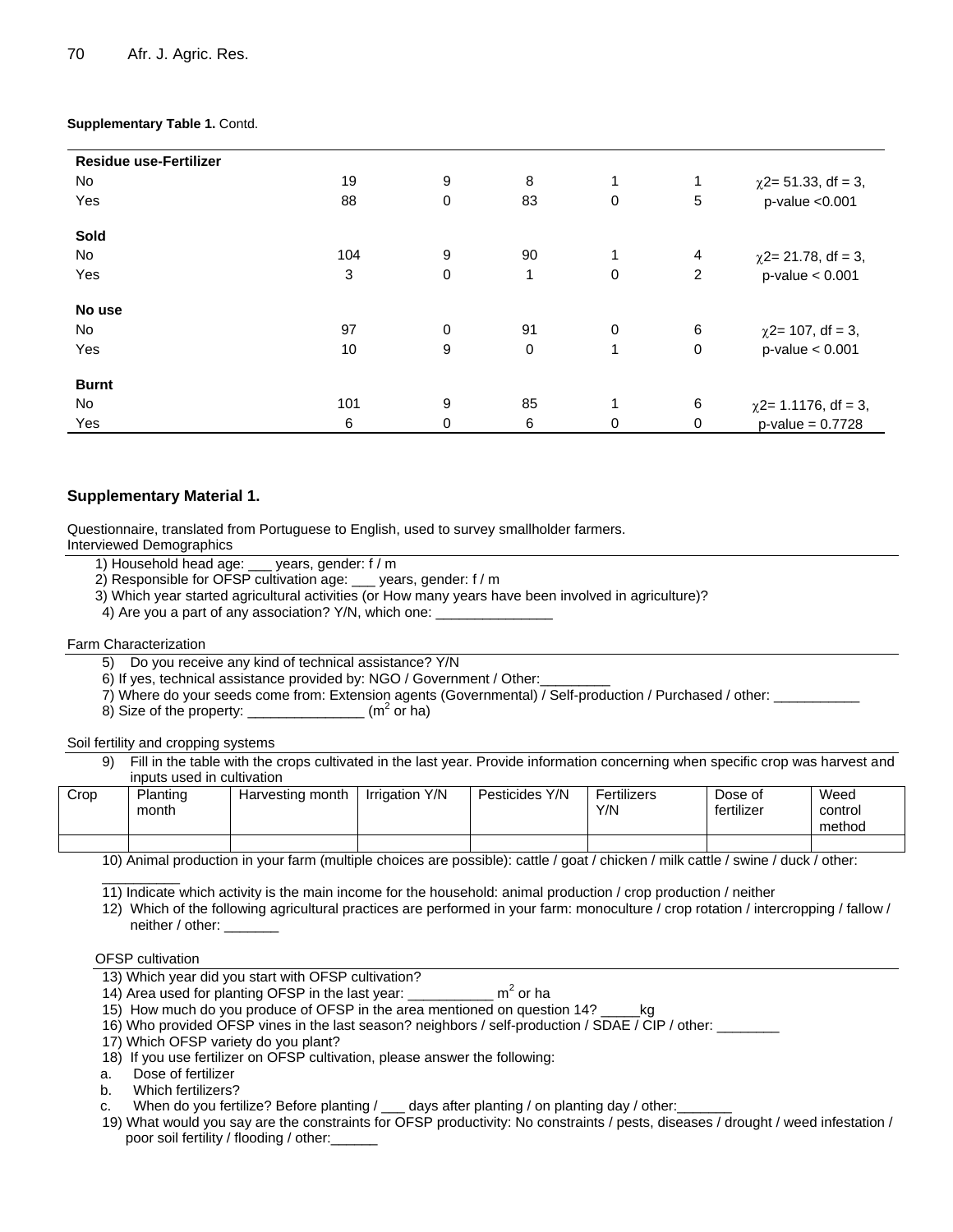#### **Supplementary Table 1.** Contd.

| <b>Residue use-Fertilizer</b> |     |             |             |              |                |                           |
|-------------------------------|-----|-------------|-------------|--------------|----------------|---------------------------|
| No.                           | 19  | 9           | 8           | 1            | 1              | $\chi$ 2= 51.33, df = 3,  |
| Yes                           | 88  | 0           | 83          | 0            | 5              | p-value < 0.001           |
| Sold                          |     |             |             |              |                |                           |
| No                            | 104 | 9           | 90          | 1            | $\overline{4}$ | $\chi$ 2= 21.78, df = 3,  |
| Yes                           | 3   | $\mathbf 0$ | 1           | 0            | $\overline{2}$ | $p$ -value < $0.001$      |
| No use                        |     |             |             |              |                |                           |
| No                            | 97  | 0           | 91          | 0            | 6              | $\chi$ 2= 107, df = 3,    |
| Yes                           | 10  | 9           | $\mathbf 0$ | $\mathbf{1}$ | $\mathbf 0$    | $p$ -value < $0.001$      |
| <b>Burnt</b>                  |     |             |             |              |                |                           |
| No                            | 101 | 9           | 85          |              | 6              | $\chi$ 2= 1.1176, df = 3, |
| Yes                           | 6   | 0           | 6           | 0            | $\mathbf 0$    | $p$ -value = 0.7728       |

### **Supplementary Material 1.**

Questionnaire, translated from Portuguese to English, used to survey smallholder farmers.

Interviewed Demographics

- 1) Household head age: \_\_\_ years, gender: f / m
- 2) Responsible for OFSP cultivation age: \_\_\_ years, gender: f / m
- 3) Which year started agricultural activities (or How many years have been involved in agriculture)?
- 4) Are you a part of any association? Y/N, which one: \_\_\_\_\_\_\_\_\_\_\_\_\_\_\_\_\_\_\_\_\_\_\_\_\_\_

#### Farm Characterization

- 5) Do you receive any kind of technical assistance? Y/N
- 6) If yes, technical assistance provided by: NGO / Government / Other:
- 7) Where do your seeds come from: Extension agents (Governmental) / Self-production / Purchased / other: \_\_\_\_\_\_\_\_\_\_
- 8) Size of the property:  $\sqrt{m^2}$  or ha)

#### Soil fertility and cropping systems

9) Fill in the table with the crops cultivated in the last year. Provide information concerning when specific crop was harvest and inputs used in cultivation

| Crop | Planting<br>month | Harvesting month | Irrigation Y/N | Pesticides Y/N | Fertilizers<br>Y/N | Dose of<br>fertilizer | Weed<br>control<br>method |
|------|-------------------|------------------|----------------|----------------|--------------------|-----------------------|---------------------------|
|      |                   |                  |                |                |                    |                       |                           |

10) Animal production in your farm (multiple choices are possible): cattle / goat / chicken / milk cattle / swine / duck / other:

11) Indicate which activity is the main income for the household: animal production / crop production / neither

12) Which of the following agricultural practices are performed in your farm: monoculture / crop rotation / intercropping / fallow / neither / other:

#### OFSP cultivation

\_\_\_\_\_\_\_\_\_\_

- 13) Which year did you start with OFSP cultivation?
- 14) Area used for planting OFSP in the last year: \_  $m<sup>2</sup>$  or ha
- 15) How much do you produce of OFSP in the area mentioned on question 14? \_\_\_\_\_kg

16) Who provided OFSP vines in the last season? neighbors / self-production / SDAE / CIP / other: \_\_\_\_\_\_\_\_

- 17) Which OFSP variety do you plant?
- 18) If you use fertilizer on OFSP cultivation, please answer the following:
- a. Dose of fertilizer
- b. Which fertilizers?
- c. When do you fertilize? Before planting / \_\_\_ days after planting / on planting day / other:
- 19) What would you say are the constraints for OFSP productivity: No constraints / pests, diseases / drought / weed infestation / poor soil fertility / flooding / other: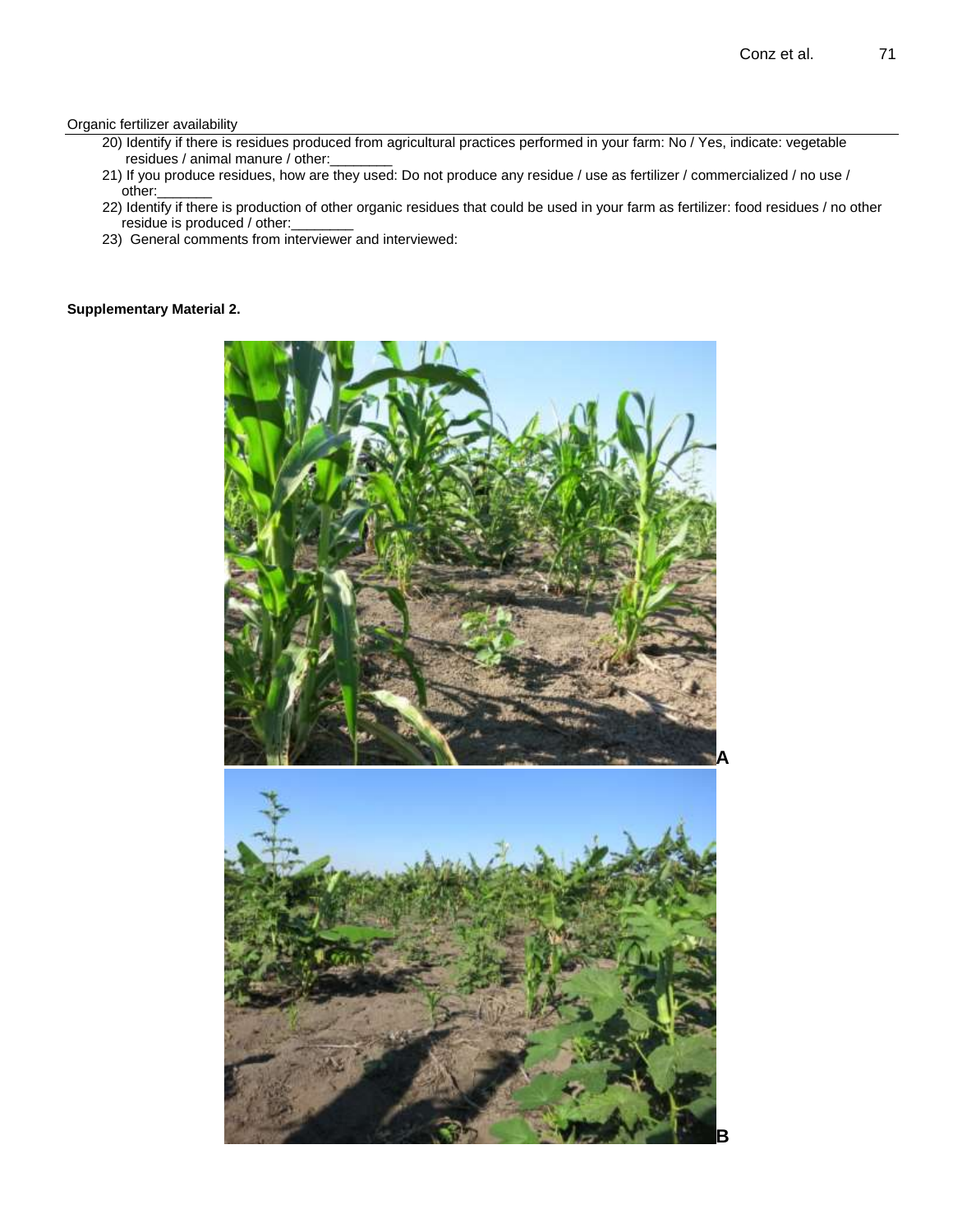#### Organic fertilizer availability

- 20) Identify if there is residues produced from agricultural practices performed in your farm: No / Yes, indicate: vegetable residues / animal manure / other:
- 21) If you produce residues, how are they used: Do not produce any residue / use as fertilizer / commercialized / no use / other:\_\_\_\_\_\_\_
- 22) Identify if there is production of other organic residues that could be used in your farm as fertilizer: food residues / no other residue is produced / other:
- 23) General comments from interviewer and interviewed:

#### **Supplementary Material 2.**